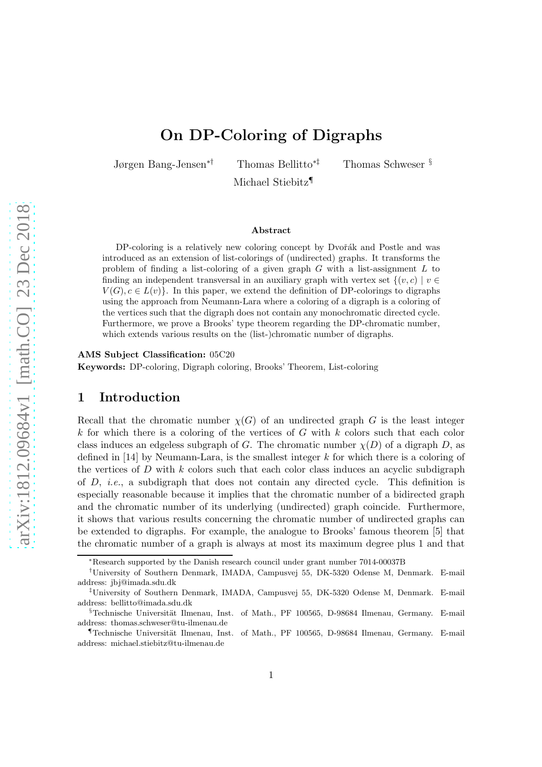# On DP-Coloring of Digraphs

Jørgen Bang-Jensen∗† Thomas Bellitto∗‡ Thomas Schweser §

Michael Stiebitz¶

#### Abstract

DP-coloring is a relatively new coloring concept by Dvořák and Postle and was introduced as an extension of list-colorings of (undirected) graphs. It transforms the problem of finding a list-coloring of a given graph  $G$  with a list-assignment  $L$  to finding an independent transversal in an auxiliary graph with vertex set  $\{(v, c) | v \in$  $V(G), c \in L(v)$ . In this paper, we extend the definition of DP-colorings to digraphs using the approach from Neumann-Lara where a coloring of a digraph is a coloring of the vertices such that the digraph does not contain any monochromatic directed cycle. Furthermore, we prove a Brooks' type theorem regarding the DP-chromatic number, which extends various results on the (list-)chromatic number of digraphs.

AMS Subject Classification: 05C20

Keywords: DP-coloring, Digraph coloring, Brooks' Theorem, List-coloring

## 1 Introduction

Recall that the chromatic number  $\chi(G)$  of an undirected graph G is the least integer  $k$  for which there is a coloring of the vertices of  $G$  with  $k$  colors such that each color class induces an edgeless subgraph of G. The chromatic number  $\chi(D)$  of a digraph D, as defined in [\[14\]](#page-22-0) by Neumann-Lara, is the smallest integer  $k$  for which there is a coloring of the vertices of D with k colors such that each color class induces an acyclic subdigraph of D, *i.e.*, a subdigraph that does not contain any directed cycle. This definition is especially reasonable because it implies that the chromatic number of a bidirected graph and the chromatic number of its underlying (undirected) graph coincide. Furthermore, it shows that various results concerning the chromatic number of undirected graphs can be extended to digraphs. For example, the analogue to Brooks' famous theorem [\[5\]](#page-21-0) that the chromatic number of a graph is always at most its maximum degree plus 1 and that

<sup>∗</sup>Research supported by the Danish research council under grant number 7014-00037B

<sup>†</sup>University of Southern Denmark, IMADA, Campusvej 55, DK-5320 Odense M, Denmark. E-mail address: jbj@imada.sdu.dk

<sup>‡</sup>University of Southern Denmark, IMADA, Campusvej 55, DK-5320 Odense M, Denmark. E-mail address: bellitto@imada.sdu.dk

<sup>§</sup>Technische Universität Ilmenau, Inst. of Math., PF 100565, D-98684 Ilmenau, Germany. E-mail address: thomas.schweser@tu-ilmenau.de

<sup>¶</sup>Technische Universit¨at Ilmenau, Inst. of Math., PF 100565, D-98684 Ilmenau, Germany. E-mail address: michael.stiebitz@tu-ilmenau.de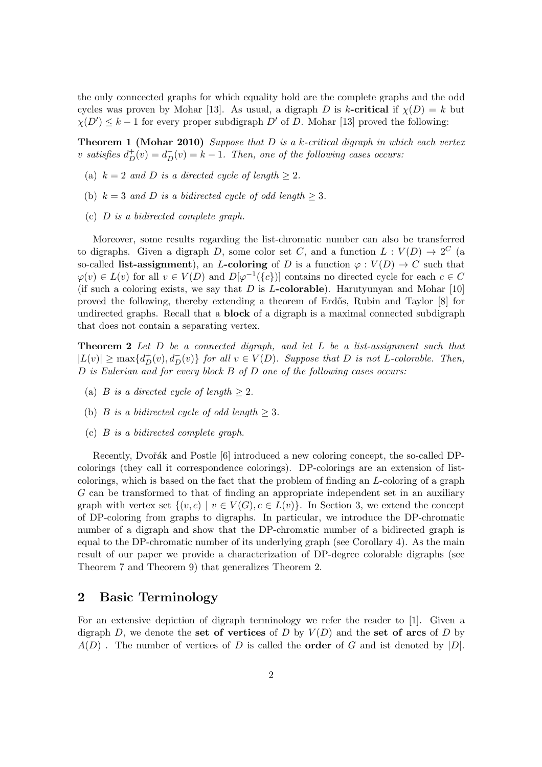the only conncected graphs for which equality hold are the complete graphs and the odd cycles was proven by Mohar [\[13\]](#page-22-1). As usual, a digraph D is k-critical if  $\chi(D) = k$  but  $\chi(D') \leq k-1$  for every proper subdigraph  $D'$  of D. Mohar [\[13\]](#page-22-1) proved the following:

Theorem 1 (Mohar 2010) *Suppose that* D *is a* k*-critical digraph in which each vertex* v satisfies  $d_D^+(v) = d_D^-(v) = k - 1$ . Then, one of the following cases occurs:

- (a)  $k = 2$  *and D is a directed cycle of length*  $\geq 2$ *.*
- (b)  $k = 3$  *and* D *is a bidirected cycle of odd length*  $> 3$ *.*
- (c) D *is a bidirected complete graph.*

Moreover, some results regarding the list-chromatic number can also be transferred to digraphs. Given a digraph D, some color set C, and a function  $L: V(D) \to 2^C$  (a so-called list-assignment), an L-coloring of D is a function  $\varphi: V(D) \to C$  such that  $\varphi(v) \in L(v)$  for all  $v \in V(D)$  and  $D[\varphi^{-1}(\{c\})]$  contains no directed cycle for each  $c \in C$ (if such a coloring exists, we say that D is L-colorable). Harutyunyan and Mohar  $[10]$ proved the following, thereby extending a theorem of Erd˝os, Rubin and Taylor [\[8\]](#page-22-3) for undirected graphs. Recall that a **block** of a digraph is a maximal connected subdigraph that does not contain a separating vertex.

<span id="page-1-0"></span>Theorem 2 *Let* D *be a connected digraph, and let* L *be a list-assignment such that*  $|L(v)| \ge \max\{d_D^+(v), d_D^-(v)\}\$  *for all*  $v \in V(D)$ *. Suppose that* D *is not* L-colorable. Then, D *is Eulerian and for every block* B *of* D *one of the following cases occurs:*

- (a) *B is a directed cycle of length*  $\geq 2$ *.*
- (b) *B is a bidirected cycle of odd length*  $\geq$  3*.*
- (c) B *is a bidirected complete graph.*

Recently, Dvořák and Postle [\[6\]](#page-21-1) introduced a new coloring concept, the so-called DPcolorings (they call it correspondence colorings). DP-colorings are an extension of listcolorings, which is based on the fact that the problem of finding an L-coloring of a graph G can be transformed to that of finding an appropriate independent set in an auxiliary graph with vertex set  $\{(v, c) \mid v \in V(G), c \in L(v)\}\)$ . In Section [3,](#page-2-0) we extend the concept of DP-coloring from graphs to digraphs. In particular, we introduce the DP-chromatic number of a digraph and show that the DP-chromatic number of a bidirected graph is equal to the DP-chromatic number of its underlying graph (see Corollary [4\)](#page-4-0). As the main result of our paper we provide a characterization of DP-degree colorable digraphs (see Theorem [7](#page-12-0) and Theorem [9\)](#page-20-0) that generalizes Theorem [2.](#page-1-0)

## 2 Basic Terminology

For an extensive depiction of digraph terminology we refer the reader to [\[1\]](#page-21-2). Given a digraph D, we denote the set of vertices of D by  $V(D)$  and the set of arcs of D by  $A(D)$ . The number of vertices of D is called the **order** of G and ist denoted by  $|D|$ .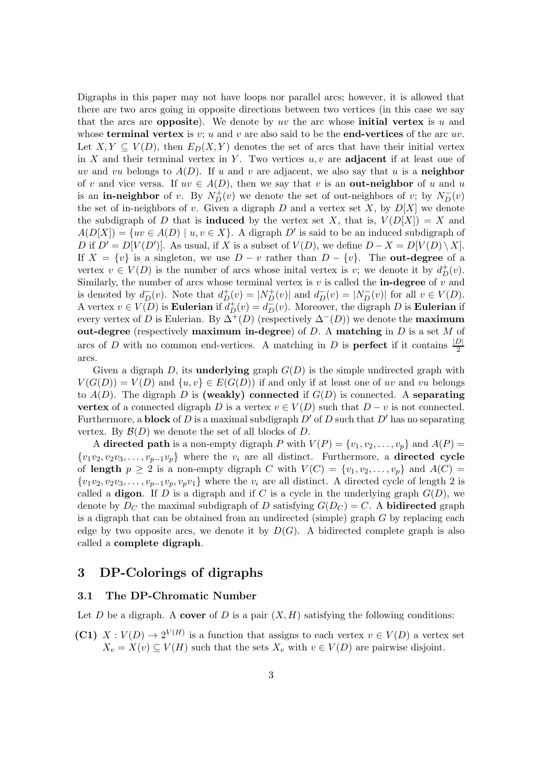Digraphs in this paper may not have loops nor parallel arcs; however, it is allowed that there are two arcs going in opposite directions between two vertices (in this case we say that the arcs are **opposite**). We denote by uv the arc whose **initial vertex** is u and whose **terminal vertex** is  $v$ ;  $u$  and  $v$  are also said to be the **end-vertices** of the arc  $uv$ . Let  $X, Y \subseteq V(D)$ , then  $E_D(X, Y)$  denotes the set of arcs that have their initial vertex in X and their terminal vertex in Y. Two vertices  $u, v$  are adjacent if at least one of uv and vu belongs to  $A(D)$ . If u and v are adjacent, we also say that u is a **neighbor** of v and vice versa. If  $uv \in A(D)$ , then we say that v is an **out-neighbor** of u and u is an **in-neighbor** of v. By  $N_D^+(v)$  we denote the set of out-neighbors of v; by  $N_D^-(v)$ the set of in-neighbors of v. Given a digraph  $D$  and a vertex set  $X$ , by  $D[X]$  we denote the subdigraph of D that is **induced** by the vertex set X, that is,  $V(D[X]) = X$  and  $A(D[X]) = \{uv \in A(D) \mid u, v \in X\}$ . A digraph D' is said to be an induced subdigraph of D if  $D' = D[V(D')]$ . As usual, if X is a subset of  $V(D)$ , we define  $D - X = D[V(D) \setminus X]$ . If  $X = \{v\}$  is a singleton, we use  $D - v$  rather than  $D - \{v\}$ . The **out-degree** of a vertex  $v \in V(D)$  is the number of arcs whose initial vertex is v; we denote it by  $d^+_D(v)$ . Similarly, the number of arcs whose terminal vertex is  $v$  is called the **in-degree** of  $v$  and is denoted by  $d_D^-(v)$ . Note that  $d_D^+(v) = |N_D^+(v)|$  and  $d_D^-(v) = |N_D^-(v)|$  for all  $v \in V(D)$ . A vertex  $v \in V(D)$  is **Eulerian** if  $d_D^+(v) = d_D^-(v)$ . Moreover, the digraph D is **Eulerian** if every vertex of D is Eulerian. By  $\Delta^{+}(D)$  (respectively  $\Delta^{-}(D)$ ) we denote the **maximum** out-degree (respectively maximum in-degree) of D. A matching in D is a set M of arcs of D with no common end-vertices. A matching in D is **perfect** if it contains  $\frac{|D|}{2}$ arcs.

Given a digraph D, its **underlying** graph  $G(D)$  is the simple undirected graph with  $V(G(D)) = V(D)$  and  $\{u, v\} \in E(G(D))$  if and only if at least one of uv and vu belongs to  $A(D)$ . The digraph D is (weakly) connected if  $G(D)$  is connected. A separating vertex of a connected digraph D is a vertex  $v \in V(D)$  such that  $D - v$  is not connected. Furthermore, a **block** of D is a maximal subdigraph  $D'$  of D such that D' has no separating vertex. By  $\mathcal{B}(D)$  we denote the set of all blocks of D.

A directed path is a non-empty digraph P with  $V(P) = \{v_1, v_2, \ldots, v_p\}$  and  $A(P) =$  $\{v_1v_2, v_2v_3, \ldots, v_{p-1}v_p\}$  where the  $v_i$  are all distinct. Furthermore, a **directed cycle** of length  $p \geq 2$  is a non-empty digraph C with  $V(C) = \{v_1, v_2, \ldots, v_p\}$  and  $A(C)$  $\{v_1v_2, v_2v_3, \ldots, v_{p-1}v_p, v_pv_1\}$  where the  $v_i$  are all distinct. A directed cycle of length 2 is called a **digon**. If  $D$  is a digraph and if  $C$  is a cycle in the underlying graph  $G(D)$ , we denote by  $D_C$  the maximal subdigraph of D satisfying  $G(D_C) = C$ . A **bidirected** graph is a digraph that can be obtained from an undirected (simple) graph  $G$  by replacing each edge by two opposite arcs, we denote it by  $D(G)$ . A bidirected complete graph is also called a complete digraph.

## <span id="page-2-0"></span>3 DP-Colorings of digraphs

### 3.1 The DP-Chromatic Number

Let D be a digraph. A cover of D is a pair  $(X, H)$  satisfying the following conditions:

(C1)  $X: V(D) \to 2^{V(H)}$  is a function that assigns to each vertex  $v \in V(D)$  a vertex set  $X_v = X(v) \subseteq V(H)$  such that the sets  $X_v$  with  $v \in V(D)$  are pairwise disjoint.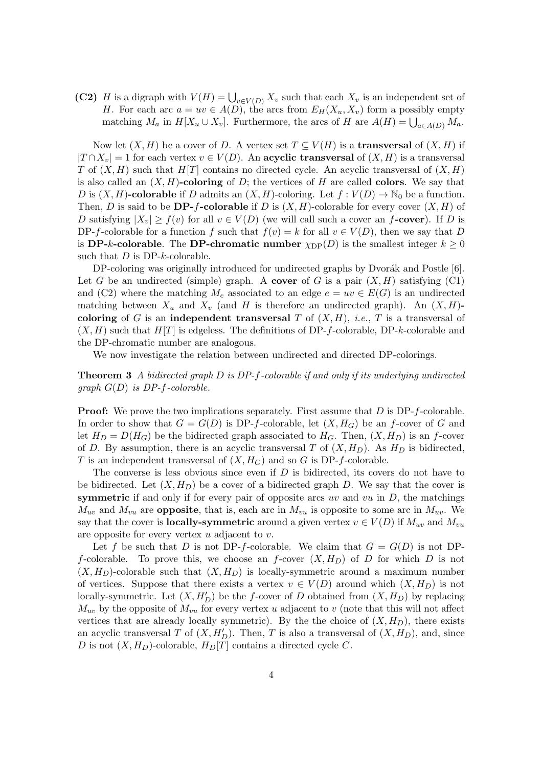(C2) H is a digraph with  $V(H) = \bigcup_{v \in V(D)} X_v$  such that each  $X_v$  is an independent set of H. For each arc  $a = uv \in A(D)$ , the arcs from  $E_H(X_u, X_v)$  form a possibly empty matching  $M_a$  in  $H[X_u \cup X_v]$ . Furthermore, the arcs of H are  $A(H) = \bigcup_{a \in A(D)} M_a$ .

Now let  $(X, H)$  be a cover of D. A vertex set  $T \subseteq V(H)$  is a **transversal** of  $(X, H)$  if  $|T \cap X_v| = 1$  for each vertex  $v \in V(D)$ . An acyclic transversal of  $(X, H)$  is a transversal T of  $(X, H)$  such that  $H[T]$  contains no directed cycle. An acyclic transversal of  $(X, H)$ is also called an  $(X, H)$ -coloring of D; the vertices of H are called colors. We say that D is  $(X, H)$ -colorable if D admits an  $(X, H)$ -coloring. Let  $f: V(D) \to \mathbb{N}_0$  be a function. Then, D is said to be **DP-f-colorable** if D is  $(X, H)$ -colorable for every cover  $(X, H)$  of D satisfying  $|X_v| \ge f(v)$  for all  $v \in V(D)$  (we will call such a cover an f-cover). If D is DP-f-colorable for a function f such that  $f(v) = k$  for all  $v \in V(D)$ , then we say that D is **DP-k-colorable**. The **DP-chromatic number**  $\chi_{\text{DP}}(D)$  is the smallest integer  $k \geq 0$ such that  $D$  is DP- $k$ -colorable.

DP-coloring was originally introduced for undirected graphs by Dvorák and Postle [\[6\]](#page-21-1). Let G be an undirected (simple) graph. A cover of G is a pair  $(X, H)$  satisfying (C1) and (C2) where the matching  $M_e$  associated to an edge  $e = uv \in E(G)$  is an undirected matching between  $X_u$  and  $X_v$  (and H is therefore an undirected graph). An  $(X, H)$ coloring of G is an independent transversal T of  $(X, H)$ , *i.e.*, T is a transversal of  $(X, H)$  such that  $H[T]$  is edgeless. The definitions of DP-f-colorable, DP-k-colorable and the DP-chromatic number are analogous.

<span id="page-3-0"></span>We now investigate the relation between undirected and directed DP-colorings.

Theorem 3 *A bidirected graph* D *is DP-*f*-colorable if and only if its underlying undirected graph* G(D) *is DP-*f*-colorable.*

**Proof:** We prove the two implications separately. First assume that D is DP-f-colorable. In order to show that  $G = G(D)$  is DP-f-colorable, let  $(X, H_G)$  be an f-cover of G and let  $H_D = D(H_G)$  be the bidirected graph associated to  $H_G$ . Then,  $(X, H_D)$  is an f-cover of D. By assumption, there is an acyclic transversal T of  $(X, H_D)$ . As  $H_D$  is bidirected, T is an independent transversal of  $(X, H_G)$  and so G is DP-f-colorable.

The converse is less obvious since even if  $D$  is bidirected, its covers do not have to be bidirected. Let  $(X, H_D)$  be a cover of a bidirected graph D. We say that the cover is symmetric if and only if for every pair of opposite arcs uv and vu in  $D$ , the matchings  $M_{uv}$  and  $M_{vu}$  are **opposite**, that is, each arc in  $M_{vu}$  is opposite to some arc in  $M_{uv}$ . We say that the cover is **locally-symmetric** around a given vertex  $v \in V(D)$  if  $M_{uv}$  and  $M_{vu}$ are opposite for every vertex  $u$  adjacent to  $v$ .

Let f be such that D is not DP-f-colorable. We claim that  $G = G(D)$  is not DPf-colorable. To prove this, we choose an f-cover  $(X, H_D)$  of D for which D is not  $(X, H_D)$ -colorable such that  $(X, H_D)$  is locally-symmetric around a maximum number of vertices. Suppose that there exists a vertex  $v \in V(D)$  around which  $(X, H_D)$  is not locally-symmetric. Let  $(X, H'_D)$  be the f-cover of D obtained from  $(X, H_D)$  by replacing  $M_{uv}$  by the opposite of  $M_{vu}$  for every vertex u adjacent to v (note that this will not affect vertices that are already locally symmetric). By the the choice of  $(X, H_D)$ , there exists an acyclic transversal T of  $(X, H'_D)$ . Then, T is also a transversal of  $(X, H_D)$ , and, since D is not  $(X, H_D)$ -colorable,  $H_D[T]$  contains a directed cycle C.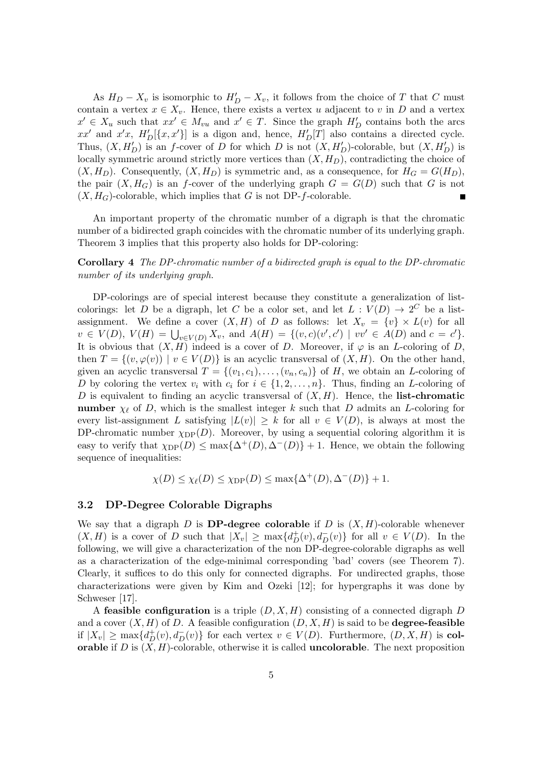As  $H_D - X_v$  is isomorphic to  $H'_D - X_v$ , it follows from the choice of T that C must contain a vertex  $x \in X_v$ . Hence, there exists a vertex u adjacent to v in D and a vertex  $x' \in X_u$  such that  $xx' \in M_{vu}$  and  $x' \in T$ . Since the graph  $H'_D$  contains both the arcs xx' and x'x,  $H'_D$ [{x, x'}] is a digon and, hence,  $H'_D[T]$  also contains a directed cycle. Thus,  $(X, H'_D)$  is an f-cover of D for which D is not  $(X, H'_D)$ -colorable, but  $(X, H'_D)$  is locally symmetric around strictly more vertices than  $(X, H_D)$ , contradicting the choice of  $(X, H_D)$ . Consequently,  $(X, H_D)$  is symmetric and, as a consequence, for  $H_G = G(H_D)$ , the pair  $(X, H_G)$  is an f-cover of the underlying graph  $G = G(D)$  such that G is not  $(X, H_G)$ -colorable, which implies that G is not DP-f-colorable.

An important property of the chromatic number of a digraph is that the chromatic number of a bidirected graph coincides with the chromatic number of its underlying graph. Theorem [3](#page-3-0) implies that this property also holds for DP-coloring:

<span id="page-4-0"></span>Corollary 4 *The DP-chromatic number of a bidirected graph is equal to the DP-chromatic number of its underlying graph.*

DP-colorings are of special interest because they constitute a generalization of listcolorings: let D be a digraph, let C be a color set, and let  $L: V(D) \to 2^C$  be a listassignment. We define a cover  $(X, H)$  of D as follows: let  $X_v = \{v\} \times L(v)$  for all  $v \in V(D)$ ,  $V(H) = \bigcup_{v \in V(D)} X_v$ , and  $A(H) = \{(v, c)(v', c') \mid vv' \in A(D) \text{ and } c = c'\}.$ It is obvious that  $(X, H)$  indeed is a cover of D. Moreover, if  $\varphi$  is an L-coloring of D, then  $T = \{(v, \varphi(v)) \mid v \in V(D)\}\$ is an acyclic transversal of  $(X, H)$ . On the other hand, given an acyclic transversal  $T = \{(v_1, c_1), \ldots, (v_n, c_n)\}\$  of H, we obtain an L-coloring of D by coloring the vertex  $v_i$  with  $c_i$  for  $i \in \{1, 2, ..., n\}$ . Thus, finding an L-coloring of D is equivalent to finding an acyclic transversal of  $(X, H)$ . Hence, the list-chromatic number  $\chi_{\ell}$  of D, which is the smallest integer k such that D admits an L-coloring for every list-assignment L satisfying  $|L(v)| \geq k$  for all  $v \in V(D)$ , is always at most the DP-chromatic number  $\chi_{\text{DP}}(D)$ . Moreover, by using a sequential coloring algorithm it is easy to verify that  $\chi_{\text{DP}}(D) \leq \max{\{\Delta^+(D), \Delta^-(D)\}} + 1$ . Hence, we obtain the following sequence of inequalities:

$$
\chi(D) \le \chi_{\ell}(D) \le \chi_{\rm DP}(D) \le \max\{\Delta^+(D), \Delta^-(D)\} + 1.
$$

#### 3.2 DP-Degree Colorable Digraphs

We say that a digraph D is **DP-degree colorable** if D is  $(X, H)$ -colorable whenever  $(X, H)$  is a cover of D such that  $|X_v| \ge \max\{d_D^+(v), d_D^-(v)\}\)$  for all  $v \in V(D)$ . In the following, we will give a characterization of the non DP-degree-colorable digraphs as well as a characterization of the edge-minimal corresponding 'bad' covers (see Theorem [7\)](#page-12-0). Clearly, it suffices to do this only for connected digraphs. For undirected graphs, those characterizations were given by Kim and Ozeki [\[12\]](#page-22-4); for hypergraphs it was done by Schweser [\[17\]](#page-22-5).

A feasible configuration is a triple  $(D, X, H)$  consisting of a connected digraph D and a cover  $(X, H)$  of D. A feasible configuration  $(D, X, H)$  is said to be **degree-feasible** if  $|X_v| \ge \max\{d_D^+(v), d_D^-(v)\}\$ for each vertex  $v \in V(D)$ . Furthermore,  $(D, X, H)$  is col**orable** if D is  $(X, H)$ -colorable, otherwise it is called **uncolorable**. The next proposition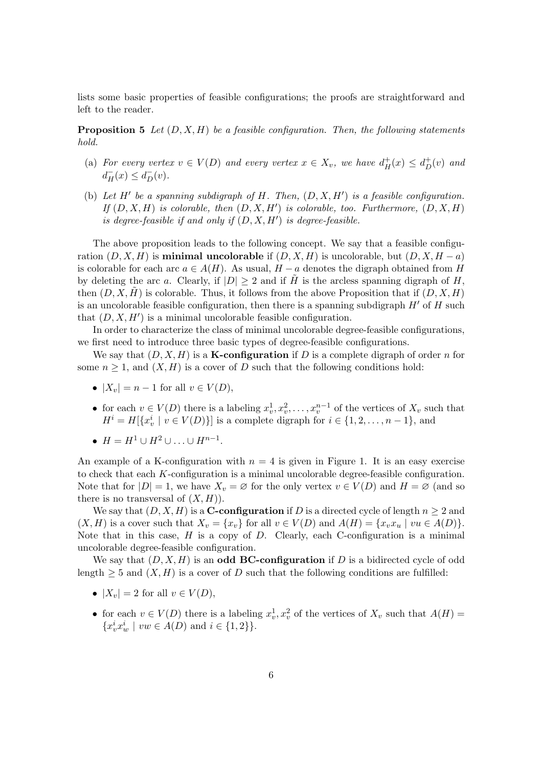lists some basic properties of feasible configurations; the proofs are straightforward and left to the reader.

Proposition 5 *Let* (D, X, H) *be a feasible configuration. Then, the following statements hold.*

- (a) *For every vertex*  $v \in V(D)$  *and every vertex*  $x \in X_v$ *, we have*  $d^+_H(x) \leq d^+_D(v)$  *and*  $d^-_H(x) \leq d^-_D(v)$ .
- (b) Let  $H'$  be a spanning subdigraph of  $H$ . Then,  $(D, X, H')$  is a feasible configuration. *If*  $(D, X, H)$  *is colorable, then*  $(D, X, H')$  *is colorable, too. Furthermore,*  $(D, X, H)$ *is degree-feasible if and only if* (D, X, H′ ) *is degree-feasible.*

The above proposition leads to the following concept. We say that a feasible configuration  $(D, X, H)$  is **minimal uncolorable** if  $(D, X, H)$  is uncolorable, but  $(D, X, H - a)$ is colorable for each arc  $a \in A(H)$ . As usual,  $H - a$  denotes the digraph obtained from H by deleting the arc a. Clearly, if  $|D| \geq 2$  and if  $\tilde{H}$  is the arcless spanning digraph of H, then  $(D, X, H)$  is colorable. Thus, it follows from the above Proposition that if  $(D, X, H)$ is an uncolorable feasible configuration, then there is a spanning subdigraph  $H'$  of  $H$  such that  $(D, X, H')$  is a minimal uncolorable feasible configuration.

In order to characterize the class of minimal uncolorable degree-feasible configurations, we first need to introduce three basic types of degree-feasible configurations.

We say that  $(D, X, H)$  is a **K-configuration** if D is a complete digraph of order n for some  $n \geq 1$ , and  $(X, H)$  is a cover of D such that the following conditions hold:

- $|X_v| = n 1$  for all  $v \in V(D)$ ,
- for each  $v \in V(D)$  there is a labeling  $x_v^1, x_v^2, \ldots, x_v^{n-1}$  of the vertices of  $X_v$  such that  $H^i = H[\lbrace x_v^i \mid v \in V(D) \rbrace]$  is a complete digraph for  $i \in \lbrace 1, 2, \ldots, n-1 \rbrace$ , and
- $H = H^1 \cup H^2 \cup ... \cup H^{n-1}$ .

An example of a K-configuration with  $n = 4$  is given in Figure [1.](#page-6-0) It is an easy exercise to check that each K-configuration is a minimal uncolorable degree-feasible configuration. Note that for  $|D|=1$ , we have  $X_v = \emptyset$  for the only vertex  $v \in V(D)$  and  $H = \emptyset$  (and so there is no transversal of  $(X, H)$ .

We say that  $(D, X, H)$  is a **C-configuration** if D is a directed cycle of length  $n \geq 2$  and  $(X, H)$  is a cover such that  $X_v = \{x_v\}$  for all  $v \in V(D)$  and  $A(H) = \{x_v x_u \mid vu \in A(D)\}\.$ Note that in this case,  $H$  is a copy of  $D$ . Clearly, each C-configuration is a minimal uncolorable degree-feasible configuration.

We say that  $(D, X, H)$  is an odd **BC-configuration** if D is a bidirected cycle of odd length  $\geq 5$  and  $(X, H)$  is a cover of D such that the following conditions are fulfilled:

- $|X_v| = 2$  for all  $v \in V(D)$ ,
- for each  $v \in V(D)$  there is a labeling  $x_v^1, x_v^2$  of the vertices of  $X_v$  such that  $A(H) =$  ${x_v^i x_w^i \mid vw \in A(D) \text{ and } i \in \{1,2\}}.$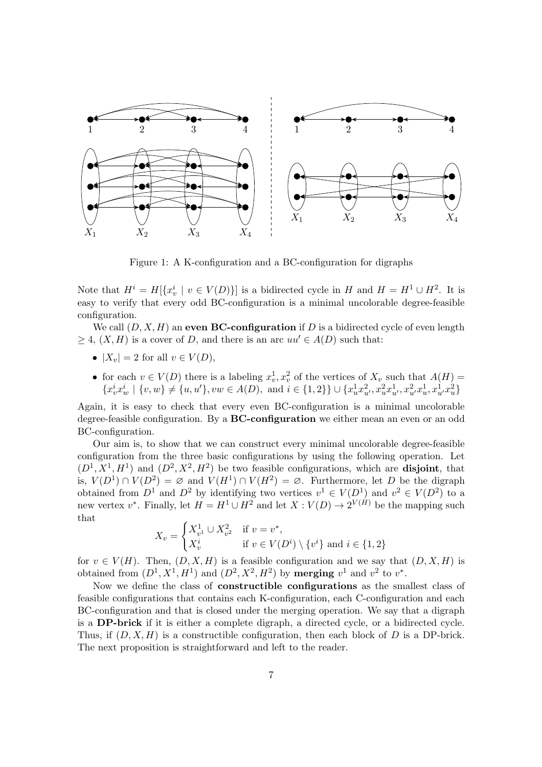

<span id="page-6-0"></span>Figure 1: A K-configuration and a BC-configuration for digraphs

Note that  $H^i = H[\{x_v^i \mid v \in V(D)\}]$  is a bidirected cycle in H and  $H = H^1 \cup H^2$ . It is easy to verify that every odd BC-configuration is a minimal uncolorable degree-feasible configuration.

We call  $(D, X, H)$  an even **BC-configuration** if D is a bidirected cycle of even length  $\geq 4$ ,  $(X, H)$  is a cover of D, and there is an arc  $uu' \in A(D)$  such that:

- $|X_v| = 2$  for all  $v \in V(D)$ ,
- for each  $v \in V(D)$  there is a labeling  $x_v^1, x_v^2$  of the vertices of  $X_v$  such that  $A(H) =$  $\{x_v^ix_w^i \mid \{v, w\} \neq \{u, u'\}, vw \in A(D)$ , and  $i \in \{1, 2\}\} \cup \{x_u^1x_{u'}^2, x_u^2x_{u'}^1, x_{u'}^2x_u^1, x_{u'}^1x_u^2\}$

Again, it is easy to check that every even BC-configuration is a minimal uncolorable degree-feasible configuration. By a **BC-configuration** we either mean an even or an odd BC-configuration.

Our aim is, to show that we can construct every minimal uncolorable degree-feasible configuration from the three basic configurations by using the following operation. Let  $(D^1, X^1, H^1)$  and  $(D^2, X^2, H^2)$  be two feasible configurations, which are **disjoint**, that is,  $V(D^1) \cap V(D^2) = \emptyset$  and  $V(H^1) \cap V(H^2) = \emptyset$ . Furthermore, let D be the digraph obtained from  $D^1$  and  $D^2$  by identifying two vertices  $v^1 \in V(D^1)$  and  $v^2 \in V(D^2)$  to a new vertex  $v^*$ . Finally, let  $H = H^1 \cup H^2$  and let  $X: V(D) \to 2^{V(H)}$  be the mapping such that

$$
X_v = \begin{cases} X_{v^1}^1 \cup X_{v^2}^2 & \text{if } v = v^*, \\ X_v^i & \text{if } v \in V(D^i) \setminus \{v^i\} \text{ and } i \in \{1, 2\} \end{cases}
$$

for  $v \in V(H)$ . Then,  $(D, X, H)$  is a feasible configuration and we say that  $(D, X, H)$  is obtained from  $(D^1, X^1, H^1)$  and  $(D^2, X^2, H^2)$  by **merging**  $v^1$  and  $v^2$  to  $v^*$ .

<span id="page-6-1"></span>Now we define the class of constructible configurations as the smallest class of feasible configurations that contains each K-configuration, each C-configuration and each BC-configuration and that is closed under the merging operation. We say that a digraph is a DP-brick if it is either a complete digraph, a directed cycle, or a bidirected cycle. Thus, if  $(D, X, H)$  is a constructible configuration, then each block of D is a DP-brick. The next proposition is straightforward and left to the reader.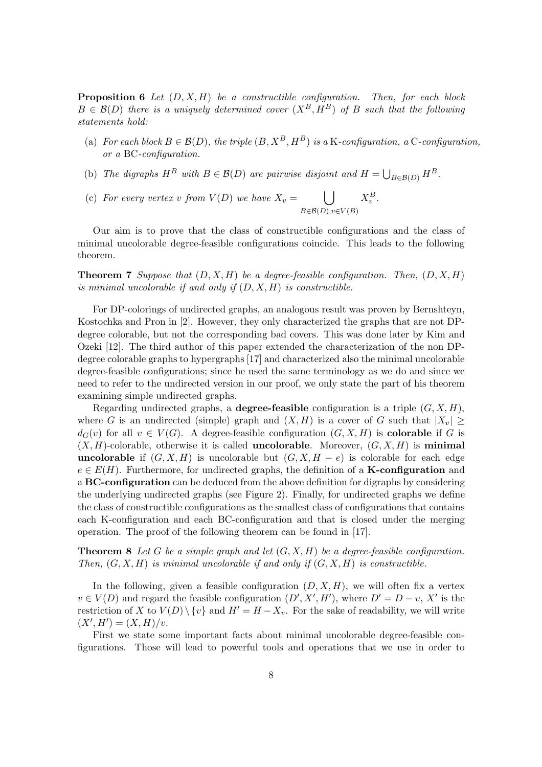Proposition 6 *Let* (D, X, H) *be a constructible configuration. Then, for each block*  $B \in \mathcal{B}(D)$  *there is a uniquely determined cover*  $(X^B, H^B)$  *of* B *such that the following statements hold:*

- (a) *For each block*  $B \in \mathcal{B}(D)$ *, the triple*  $(B, X^B, H^B)$  *is a* K-configuration, a C-configuration, *or a* BC*-configuration.*
- (b) The digraphs  $H^B$  with  $B \in \mathcal{B}(D)$  are pairwise disjoint and  $H = \bigcup_{B \in \mathcal{B}(D)} H^B$ .
- (c) For every vertex v from  $V(D)$  we have  $X_v = \bigcup$  $B\in \mathcal{B}(D), v\in V(B)$  $X_v^B$ .

Our aim is to prove that the class of constructible configurations and the class of minimal uncolorable degree-feasible configurations coincide. This leads to the following theorem.

**Theorem 7** *Suppose that*  $(D, X, H)$  *be a degree-feasible configuration. Then,*  $(D, X, H)$ *is minimal uncolorable if and only if* (D, X, H) *is constructible.*

For DP-colorings of undirected graphs, an analogous result was proven by Bernshteyn, Kostochka and Pron in [\[2\]](#page-21-3). However, they only characterized the graphs that are not DPdegree colorable, but not the corresponding bad covers. This was done later by Kim and Ozeki [\[12\]](#page-22-4). The third author of this paper extended the characterization of the non DPdegree colorable graphs to hypergraphs [\[17\]](#page-22-5) and characterized also the minimal uncolorable degree-feasible configurations; since he used the same terminology as we do and since we need to refer to the undirected version in our proof, we only state the part of his theorem examining simple undirected graphs.

Regarding undirected graphs, a **degree-feasible** configuration is a triple  $(G, X, H)$ , where G is an undirected (simple) graph and  $(X, H)$  is a cover of G such that  $|X_v| \ge$  $d_G(v)$  for all  $v \in V(G)$ . A degree-feasible configuration  $(G, X, H)$  is **colorable** if G is  $(X, H)$ -colorable, otherwise it is called **uncolorable**. Moreover,  $(G, X, H)$  is minimal uncolorable if  $(G, X, H)$  is uncolorable but  $(G, X, H - e)$  is colorable for each edge  $e \in E(H)$ . Furthermore, for undirected graphs, the definition of a **K-configuration** and a **BC-configuration** can be deduced from the above definition for digraphs by considering the underlying undirected graphs (see Figure [2\)](#page-8-0). Finally, for undirected graphs we define the class of constructible configurations as the smallest class of configurations that contains each K-configuration and each BC-configuration and that is closed under the merging operation. The proof of the following theorem can be found in [\[17\]](#page-22-5).

Theorem 8 *Let* G *be a simple graph and let* (G, X, H) *be a degree-feasible configuration. Then,*  $(G, X, H)$  *is minimal uncolorable if and only if*  $(G, X, H)$  *is constructible.* 

In the following, given a feasible configuration  $(D, X, H)$ , we will often fix a vertex  $v \in V(D)$  and regard the feasible configuration  $(D', X', H')$ , where  $D' = D - v$ , X' is the restriction of X to  $V(D) \setminus \{v\}$  and  $H' = H - X_v$ . For the sake of readability, we will write  $(X', H') = (X, H)/v.$ 

First we state some important facts about minimal uncolorable degree-feasible configurations. Those will lead to powerful tools and operations that we use in order to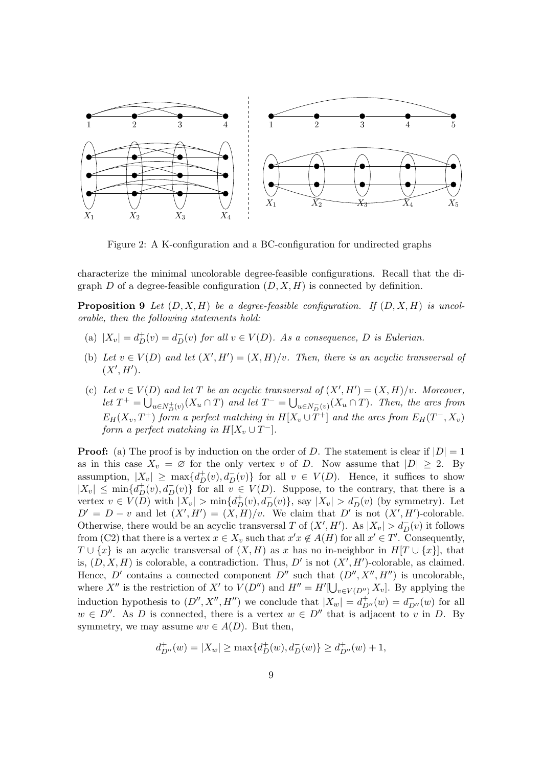

<span id="page-8-0"></span>Figure 2: A K-configuration and a BC-configuration for undirected graphs

characterize the minimal uncolorable degree-feasible configurations. Recall that the digraph D of a degree-feasible configuration  $(D, X, H)$  is connected by definition.

**Proposition 9** Let  $(D, X, H)$  be a degree-feasible configuration. If  $(D, X, H)$  is uncol*orable, then the following statements hold:*

- (a)  $|X_v| = d_D^+(v) = d_D^-(v)$  *for all*  $v \in V(D)$ *. As a consequence, D is Eulerian.*
- (b) Let  $v \in V(D)$  and let  $(X', H') = (X, H)/v$ . Then, there is an acyclic transversal of  $(X', H')$ .
- (c) Let  $v \in V(D)$  and let T be an acyclic transversal of  $(X', H') = (X, H)/v$ *. Moreover,*  $let T^+ = \bigcup_{u \in N_{D}^+(v)} (X_u \cap T)$  and let  $T^- = \bigcup_{u \in N_{D}^-(v)} (X_u \cap T)$ . Then, the arcs from  $E_H(X_v, T^+)$  form a perfect matching in  $H[X_v \cup T^+]$  and the arcs from  $E_H(T^-, X_v)$ *form a perfect matching in*  $H[X_v \cup T^-]$ *.*

**Proof:** (a) The proof is by induction on the order of D. The statement is clear if  $|D| = 1$ as in this case  $X_v = \emptyset$  for the only vertex v of D. Now assume that  $|D| \geq 2$ . By assumption,  $|X_v| \ge \max\{d_D^+(v), d_D^-(v)\}\$  for all  $v \in V(D)$ . Hence, it suffices to show  $|X_v| \leq \min\{d_D^+(v), d_D^-(v)\}\$  for all  $v \in V(D)$ . Suppose, to the contrary, that there is a vertex  $v \in V(D)$  with  $|X_v| > \min\{d_D^+(v), d_D^-(v)\}\$ , say  $|X_v| > d_D^-(v)$  (by symmetry). Let  $D' = D - v$  and let  $(X', H') = (X, H)/v$ . We claim that D' is not  $(X', H')$ -colorable. Otherwise, there would be an acyclic transversal T of  $(X', H')$ . As  $|X_v| > d_D^-(v)$  it follows from (C2) that there is a vertex  $x \in X_v$  such that  $x'x \notin A(H)$  for all  $x' \in T'$ . Consequently,  $T \cup \{x\}$  is an acyclic transversal of  $(X, H)$  as x has no in-neighbor in  $H[T \cup \{x\}]$ , that is,  $(D, X, H)$  is colorable, a contradiction. Thus, D' is not  $(X', H')$ -colorable, as claimed. Hence, D' contains a connected component D'' such that  $(D'', X'', H'')$  is uncolorable, where X'' is the restriction of X' to  $V(D'')$  and  $H'' = H'[\bigcup_{v \in V(D'')} X_v]$ . By applying the induction hypothesis to  $(D'', X'', H'')$  we conclude that  $|X_w| = d_{D''}^+(w) = d_{D''}^-(w)$  for all  $w \in D''$ . As D is connected, there is a vertex  $w \in D''$  that is adjacent to v in D. By symmetry, we may assume  $wv \in A(D)$ . But then,

$$
d_{D''}^+(w)=|X_w|\geq \max\{d_D^+(w),d_D^-(w)\}\geq d_{D''}^+(w)+1,
$$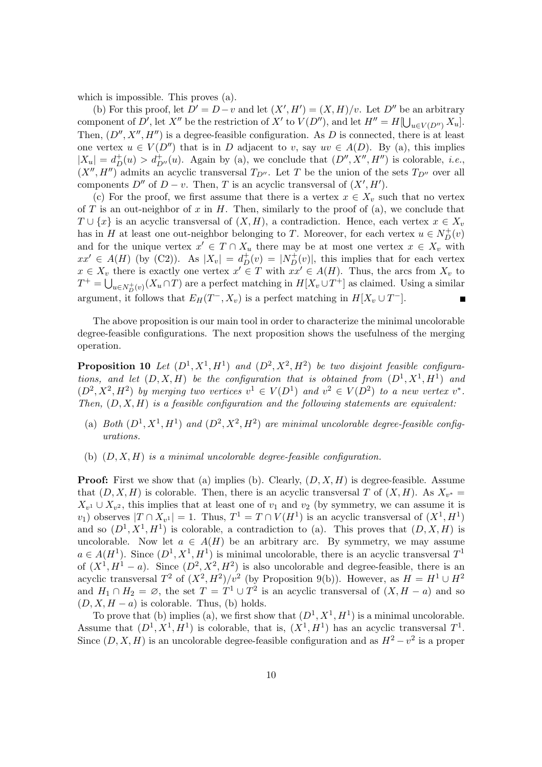which is impossible. This proves (a).

(b) For this proof, let  $D' = D - v$  and let  $(X', H') = (X, H)/v$ . Let  $D''$  be an arbitrary component of D', let X'' be the restriction of X' to  $V(D'')$ , and let  $H'' = H[\bigcup_{u \in V(D'')} X_u]$ . Then,  $(D'', X'', H'')$  is a degree-feasible configuration. As D is connected, there is at least one vertex  $u \in V(D'')$  that is in D adjacent to v, say  $uv \in A(D)$ . By (a), this implies  $|X_u| = d_D^+(u) > d_{D''}^+(u)$ . Again by (a), we conclude that  $(D'', X'', H'')$  is colorable, *i.e.*,  $(X'', H'')$  admits an acyclic transversal  $T_{D''}$ . Let T be the union of the sets  $T_{D''}$  over all components  $D''$  of  $D - v$ . Then, T is an acyclic transversal of  $(X', H')$ .

(c) For the proof, we first assume that there is a vertex  $x \in X_n$  such that no vertex of  $T$  is an out-neighbor of  $x$  in  $H$ . Then, similarly to the proof of (a), we conclude that  $T \cup \{x\}$  is an acyclic transversal of  $(X, H)$ , a contradiction. Hence, each vertex  $x \in X_v$ has in H at least one out-neighbor belonging to T. Moreover, for each vertex  $u \in N_D^+(v)$ and for the unique vertex  $x' \in T \cap X_u$  there may be at most one vertex  $x \in X_v$  with  $xx' \in A(H)$  (by (C2)). As  $|X_v| = d_D^+(v) = |N_D^+(v)|$ , this implies that for each vertex  $x \in X_v$  there is exactly one vertex  $x' \in T$  with  $xx' \in A(H)$ . Thus, the arcs from  $X_v$  to  $T^+ = \bigcup_{u \in N_{D}^+(v)} (X_u \cap T)$  are a perfect matching in  $H[X_v \cup T^+]$  as claimed. Using a similar argument, it follows that  $E_H(T^-, X_v)$  is a perfect matching in  $H[X_v \cup T^-]$ .

The above proposition is our main tool in order to characterize the minimal uncolorable degree-feasible configurations. The next proposition shows the usefulness of the merging operation.

**Proposition 10** Let  $(D^1, X^1, H^1)$  and  $(D^2, X^2, H^2)$  be two disjoint feasible configura*tions, and let*  $(D, X, H)$  *be the configuration that is obtained from*  $(D^1, X^1, H^1)$  *and*  $(D^2, X^2, H^2)$  by merging two vertices  $v^1 \in V(D^1)$  and  $v^2 \in V(D^2)$  to a new vertex  $v^*$ . *Then,* (D, X, H) *is a feasible configuration and the following statements are equivalent:*

- (a) Both  $(D^1, X^1, H^1)$  and  $(D^2, X^2, H^2)$  are minimal uncolorable degree-feasible config*urations.*
- (b) (D, X, H) *is a minimal uncolorable degree-feasible configuration.*

**Proof:** First we show that (a) implies (b). Clearly,  $(D, X, H)$  is degree-feasible. Assume that  $(D, X, H)$  is colorable. Then, there is an acyclic transversal T of  $(X, H)$ . As  $X_{v^*} =$  $X_{v_1} \cup X_{v_2}$ , this implies that at least one of  $v_1$  and  $v_2$  (by symmetry, we can assume it is v<sub>1</sub>) observes  $|T \cap X_{v}^1| = 1$ . Thus,  $T^1 = T \cap V(H^1)$  is an acyclic transversal of  $(X^1, H^1)$ and so  $(D^1, X^1, H^1)$  is colorable, a contradiction to (a). This proves that  $(D, X, H)$  is uncolorable. Now let  $a \in A(H)$  be an arbitrary arc. By symmetry, we may assume  $a \in A(H^1)$ . Since  $(D^1, X^1, H^1)$  is minimal uncolorable, there is an acyclic transversal  $T^1$ of  $(X^1, H^1 - a)$ . Since  $(D^2, X^2, H^2)$  is also uncolorable and degree-feasible, there is an acyclic transversal  $T^2$  of  $(X^2, H^2)/v^2$  (by Proposition [9\(](#page-20-0)b)). However, as  $H = H^1 \cup H^2$ and  $H_1 \cap H_2 = \emptyset$ , the set  $T = T^1 \cup T^2$  is an acyclic transversal of  $(X, H - a)$  and so  $(D, X, H - a)$  is colorable. Thus, (b) holds.

To prove that (b) implies (a), we first show that  $(D^1, X^1, H^1)$  is a minimal uncolorable. Assume that  $(D^1, X^1, H^1)$  is colorable, that is,  $(X^1, H^1)$  has an acyclic transversal  $T^1$ . Since  $(D, X, H)$  is an uncolorable degree-feasible configuration and as  $H^2 - v^2$  is a proper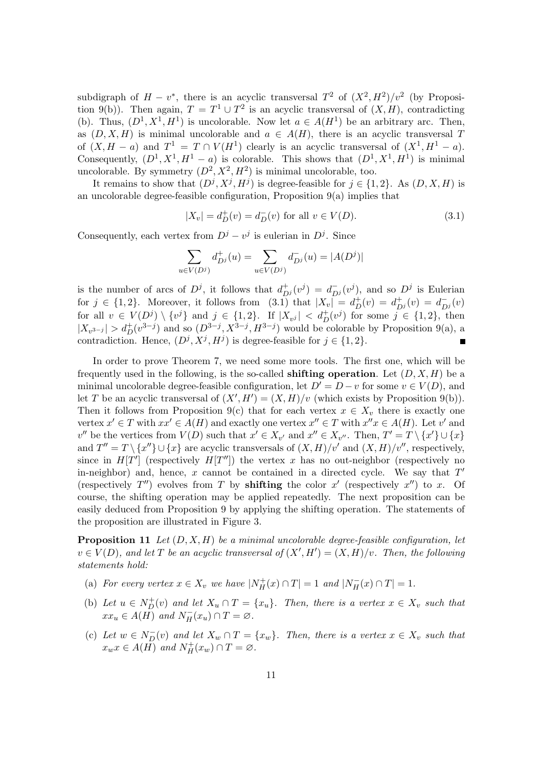subdigraph of  $H - v^*$ , there is an acyclic transversal  $T^2$  of  $(X^2, H^2)/v^2$  (by Proposi-tion [9\(](#page-20-0)b)). Then again,  $T = T^1 \cup T^2$  is an acyclic transversal of  $(X, H)$ , contradicting (b). Thus,  $(D^1, X^1, H^1)$  is uncolorable. Now let  $a \in A(H^1)$  be an arbitrary arc. Then, as  $(D, X, H)$  is minimal uncolorable and  $a \in A(H)$ , there is an acyclic transversal T of  $(X, H - a)$  and  $T^1 = T \cap V(H^1)$  clearly is an acyclic transversal of  $(X^1, H^1 - a)$ . Consequently,  $(D^1, X^1, H^1 - a)$  is colorable. This shows that  $(D^1, X^1, H^1)$  is minimal uncolorable. By symmetry  $(D^2, X^2, H^2)$  is minimal uncolorable, too.

It remains to show that  $(D^j, X^j, H^j)$  is degree-feasible for  $j \in \{1, 2\}$ . As  $(D, X, H)$  is an uncolorable degree-feasible configuration, Proposition  $9(a)$  implies that

<span id="page-10-0"></span>
$$
|X_v| = d_D^+(v) = d_D^-(v) \text{ for all } v \in V(D). \tag{3.1}
$$

Consequently, each vertex from  $D^j - v^j$  is eulerian in  $D^j$ . Since

$$
\sum_{u \in V(D^j)} d_{D^j}^+(u) = \sum_{u \in V(D^j)} d_{D^j}^-(u) = |A(D^j)|
$$

is the number of arcs of  $D^j$ , it follows that  $d_{D^j}^+(v^j) = d_{D^j}^-(v^j)$ , and so  $D^j$  is Eulerian for  $j \in \{1,2\}$ . Moreover, it follows from  $(3.1)$  that  $|X_v| = d_D^+(v) = d_{D^j}^+(v) = d_{D^j}^-(v)$ for all  $v \in V(D^j) \setminus \{v^j\}$  and  $j \in \{1,2\}$ . If  $|X_{v^j}| < d_D^+(v^j)$  for some  $j \in \{1,2\}$ , then  $|X_{v^{3-j}}| > d_D^+(v^{3-j})$  and so  $(D^{3-j}, X^{3-j}, H^{3-j})$  would be colorable by Proposition [9\(](#page-20-0)a), a contradiction. Hence,  $(D^j, X^j, H^j)$  is degree-feasible for  $j \in \{1, 2\}$ .

In order to prove Theorem [7,](#page-12-0) we need some more tools. The first one, which will be frequently used in the following, is the so-called **shifting operation**. Let  $(D, X, H)$  be a minimal uncolorable degree-feasible configuration, let  $D' = D - v$  for some  $v \in V(D)$ , and let T be an acyclic transversal of  $(X', H') = (X, H)/v$  (which exists by Proposition [9\(](#page-20-0)b)). Then it follows from Proposition [9\(](#page-20-0)c) that for each vertex  $x \in X_v$  there is exactly one vertex  $x' \in T$  with  $xx' \in A(H)$  and exactly one vertex  $x'' \in T$  with  $x''x \in A(H)$ . Let v' and  $v''$  be the vertices from  $V(D)$  such that  $x' \in X_{v'}$  and  $x'' \in X_{v''}$ . Then,  $T' = T \setminus \{x'\} \cup \{x\}$ and  $T'' = T \setminus \{x''\} \cup \{x\}$  are acyclic transversals of  $(X, H)/v'$  and  $(X, H)/v''$ , respectively, since in  $H[T']$  (respectively  $H[T'']$ ) the vertex x has no out-neighbor (respectively no in-neighbor) and, hence,  $x$  cannot be contained in a directed cycle. We say that  $T'$ (respectively  $T''$ ) evolves from T by **shifting** the color  $x'$  (respectively  $x''$ ) to x. Of course, the shifting operation may be applied repeatedly. The next proposition can be easily deduced from Proposition [9](#page-20-0) by applying the shifting operation. The statements of the proposition are illustrated in Figure [3.](#page-11-0)

Proposition 11 *Let* (D, X, H) *be a minimal uncolorable degree-feasible configuration, let*  $v \in V(D)$ , and let T be an acyclic transversal of  $(X', H') = (X, H)/v$ . Then, the following *statements hold:*

- (a) *For every vertex*  $x \in X_v$  *we have*  $|N_H^+(x) \cap T| = 1$  *and*  $|N_H^-(x) \cap T| = 1$ *.*
- (b) Let  $u \in N_D^+(v)$  and let  $X_u \cap T = \{x_u\}$ . Then, there is a vertex  $x \in X_v$  such that  $xx_u \in A(H)$  and  $N_H^-(x_u) \cap T = \varnothing$ .
- (c) Let  $w \in N_D^-(v)$  and let  $X_w \cap T = \{x_w\}$ . Then, there is a vertex  $x \in X_v$  such that  $x_w x \in A(H)$  and  $N_H^+(x_w) \cap T = \varnothing$ .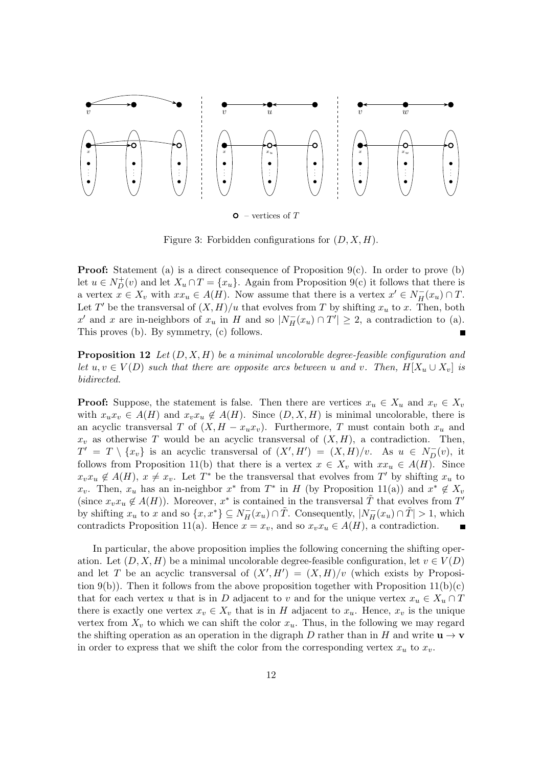

<span id="page-11-0"></span>Figure 3: Forbidden configurations for  $(D, X, H)$ .

**Proof:** Statement (a) is a direct consequence of Proposition  $9(c)$ . In order to prove (b) let  $u \in N_D^+(v)$  and let  $X_u \cap T = \{x_u\}$ . Again from Proposition [9\(](#page-20-0)c) it follows that there is a vertex  $x \in X_v$  with  $xx_u \in A(H)$ . Now assume that there is a vertex  $x' \in N_H^-(x_u) \cap T$ . Let T' be the transversal of  $(X, H)/u$  that evolves from T by shifting  $x_u$  to x. Then, both x' and x are in-neighbors of  $x_u$  in H and so  $|N_H^-(x_u) \cap T'| \geq 2$ , a contradiction to (a). This proves (b). By symmetry, (c) follows.

Proposition 12 *Let* (D, X, H) *be a minimal uncolorable degree-feasible configuration and let*  $u, v \in V(D)$  *such that there are opposite arcs between* u *and* v. Then,  $H[X_u \cup X_v]$  *is bidirected.*

**Proof:** Suppose, the statement is false. Then there are vertices  $x_u \in X_u$  and  $x_v \in X_v$ with  $x_ux_v \in A(H)$  and  $x_vx_u \notin A(H)$ . Since  $(D, X, H)$  is minimal uncolorable, there is an acyclic transversal T of  $(X, H - x_u x_v)$ . Furthermore, T must contain both  $x_u$  and  $x_v$  as otherwise T would be an acyclic transversal of  $(X, H)$ , a contradiction. Then,  $T' = T \setminus \{x_v\}$  is an acyclic transversal of  $(X', H') = (X, H)/v$ . As  $u \in N_D^-(v)$ , it follows from Proposition [11\(](#page-20-1)b) that there is a vertex  $x \in X_v$  with  $xx_u \in A(H)$ . Since  $x_vx_u \notin A(H)$ ,  $x \neq x_v$ . Let  $T^*$  be the transversal that evolves from  $T'$  by shifting  $x_u$  to  $x_v$ . Then,  $x_u$  has an in-neighbor  $x^*$  from  $T^*$  in H (by Proposition [11\(](#page-20-1)a)) and  $x^* \notin X_v$ (since  $x_v x_u \notin A(H)$ ). Moreover,  $x^*$  is contained in the transversal  $\tilde{T}$  that evolves from  $T'$ by shifting  $x_u$  to x and so  $\{x, x^*\} \subseteq N_H^-(x_u) \cap \tilde{T}$ . Consequently,  $|N_H^-(x_u) \cap \tilde{T}| > 1$ , which contradicts Proposition [11\(](#page-20-1)a). Hence  $x = x_v$ , and so  $x_v x_u \in A(H)$ , a contradiction.

In particular, the above proposition implies the following concerning the shifting operation. Let  $(D, X, H)$  be a minimal uncolorable degree-feasible configuration, let  $v \in V(D)$ and let T be an acyclic transversal of  $(X', H') = (X, H)/v$  (which exists by Proposi-tion [9\(](#page-20-0)b)). Then it follows from the above proposition together with Proposition  $11(b)(c)$ that for each vertex u that is in D adjacent to v and for the unique vertex  $x_u \in X_u \cap T$ there is exactly one vertex  $x_v \in X_v$  that is in H adjacent to  $x_u$ . Hence,  $x_v$  is the unique vertex from  $X_v$  to which we can shift the color  $x_u$ . Thus, in the following we may regard the shifting operation as an operation in the digraph D rather than in H and write  $\mathbf{u} \to \mathbf{v}$ in order to express that we shift the color from the corresponding vertex  $x_u$  to  $x_v$ .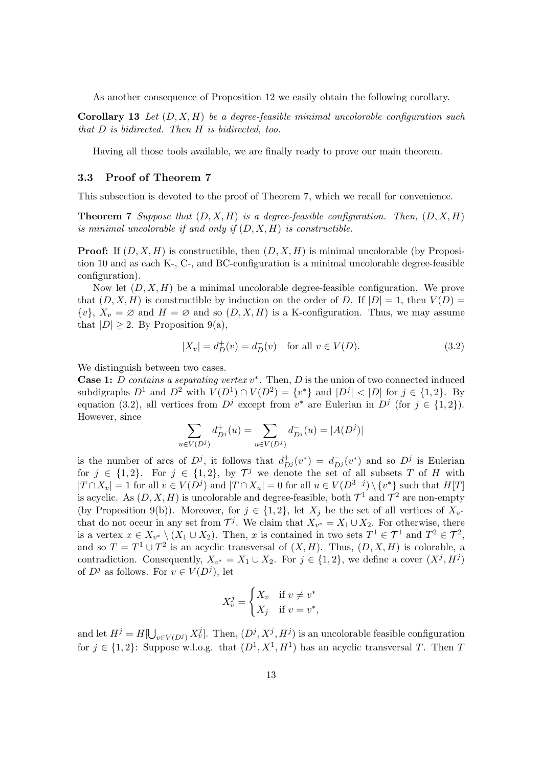As another consequence of Proposition [12](#page-20-2) we easily obtain the following corollary.

Corollary 13 *Let* (D, X, H) *be a degree-feasible minimal uncolorable configuration such that* D *is bidirected. Then* H *is bidirected, too.*

Having all those tools available, we are finally ready to prove our main theorem.

#### 3.3 Proof of Theorem [7](#page-12-0)

<span id="page-12-0"></span>This subsection is devoted to the proof of Theorem [7,](#page-12-0) which we recall for convenience.

**Theorem 7** Suppose that  $(D, X, H)$  is a degree-feasible configuration. Then,  $(D, X, H)$ *is minimal uncolorable if and only if* (D, X, H) *is constructible.*

**Proof:** If  $(D, X, H)$  is constructible, then  $(D, X, H)$  is minimal uncolorable (by Proposition [10](#page-20-3) and as each K-, C-, and BC-configuration is a minimal uncolorable degree-feasible configuration).

Now let  $(D, X, H)$  be a minimal uncolorable degree-feasible configuration. We prove that  $(D, X, H)$  is constructible by induction on the order of D. If  $|D| = 1$ , then  $V(D) =$  $\{v\}, X_v = \emptyset$  and  $H = \emptyset$  and so  $(D, X, H)$  is a K-configuration. Thus, we may assume that  $|D| \geq 2$ . By Proposition [9\(](#page-20-0)a),

<span id="page-12-1"></span>
$$
|X_v| = d_D^+(v) = d_D^-(v) \quad \text{for all } v \in V(D). \tag{3.2}
$$

We distinguish between two cases.

Case 1: *D* contains a separating vertex v<sup>\*</sup>. Then, *D* is the union of two connected induced subdigraphs  $D^1$  and  $D^2$  with  $V(D^1) \cap V(D^2) = \{v^*\}$  and  $|D^j| < |D|$  for  $j \in \{1, 2\}$ . By equation [\(3.2\)](#page-12-1), all vertices from  $D^j$  except from  $v^*$  are Eulerian in  $D^j$  (for  $j \in \{1,2\}$ ). However, since

$$
\sum_{u \in V(D^j)} d_{D^j}^+(u) = \sum_{u \in V(D^j)} d_{D^j}^-(u) = |A(D^j)|
$$

is the number of arcs of  $D^j$ , it follows that  $d_{D^j}^+(v^*) = d_{D^j}^-(v^*)$  and so  $D^j$  is Eulerian for  $j \in \{1,2\}$ . For  $j \in \{1,2\}$ , by  $\mathcal{T}^j$  we denote the set of all subsets T of H with  $|T \cap X_v| = 1$  for all  $v \in V(D^j)$  and  $|T \cap X_u| = 0$  for all  $u \in V(D^{3-j}) \setminus \{v^*\}$  such that  $H[T]$ is acyclic. As  $(D, X, H)$  is uncolorable and degree-feasible, both  $\mathcal{T}^1$  and  $\mathcal{T}^2$  are non-empty (by Proposition [9\(](#page-20-0)b)). Moreover, for  $j \in \{1,2\}$ , let  $X_j$  be the set of all vertices of  $X_{v^*}$ that do not occur in any set from  $\mathcal{T}^j$ . We claim that  $X_{v^*} = X_1 \cup X_2$ . For otherwise, there is a vertex  $x \in X_{v^*} \setminus (X_1 \cup X_2)$ . Then, x is contained in two sets  $T^1 \in \mathcal{T}^1$  and  $T^2 \in \mathcal{T}^2$ , and so  $T = T^1 \cup T^2$  is an acyclic transversal of  $(X, H)$ . Thus,  $(D, X, H)$  is colorable, a contradiction. Consequently,  $X_{v^*} = X_1 \cup X_2$ . For  $j \in \{1, 2\}$ , we define a cover  $(X^j, H^j)$ of  $D^j$  as follows. For  $v \in V(D^j)$ , let

$$
X_v^j = \begin{cases} X_v & \text{if } v \neq v^* \\ X_j & \text{if } v = v^*, \end{cases}
$$

and let  $H^j = H[\bigcup_{v \in V(D^j)} X_v^j]$ . Then,  $(D^j, X^j, H^j)$  is an uncolorable feasible configuration for  $j \in \{1,2\}$ : Suppose w.l.o.g. that  $(D^1, X^1, H^1)$  has an acyclic transversal T. Then T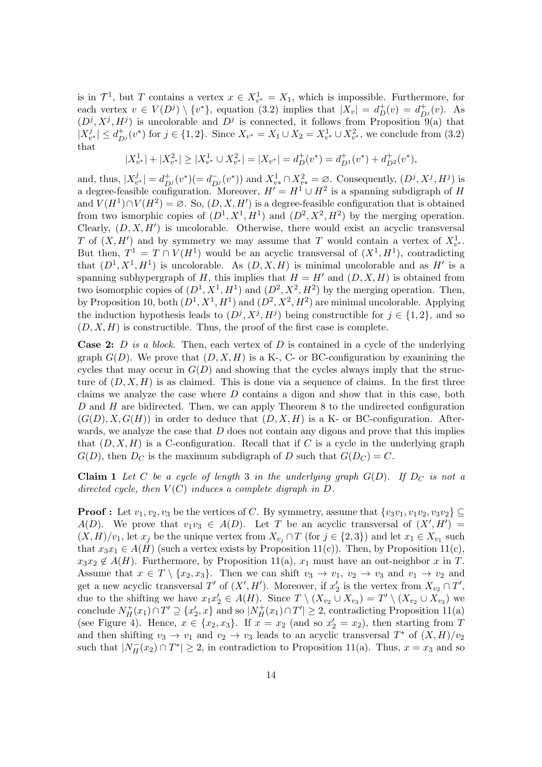is in  $\mathcal{T}^1$ , but T contains a vertex  $x \in X^1_{v^*} = X_1$ , which is impossible. Furthermore, for each vertex  $v \in V(D^j) \setminus \{v^*\}$ , equation [\(3.2\)](#page-12-1) implies that  $|X_v| = d_D^+(v) = d_{D^j}^+(v)$ . As  $(D^{j}, X^{j}, H^{j})$  is uncolorable and  $D^{j}$  is connected, it follows from Proposition [9\(](#page-20-0)a) that  $X_v^j$  $|v^j_{v^*}| \leq d_{D^j}^+(v^*)$  for  $j \in \{1,2\}$ . Since  $X_{v^*} = X_1 \cup X_2 = X_{v^*}^1 \cup X_{v^*}^2$ , we conclude from  $(3.2)$ that

$$
|X_{v^*}^1| + |X_{v^*}^2| \ge |X_{v^*}^1 \cup X_{v^*}^2| = |X_{v^*}| = d_D^+(v^*) = d_{D^1}^+(v^*) + d_{D^2}^+(v^*),
$$

and, thus,  $|X_v^j$  $|v^j v^*| = d_{D^j}^+(v^*)(=d_{D^j}^-(v^*))$  and  $X^1_{v^*} \cap X^2_{v^*} = \emptyset$ . Consequently,  $(D^j, X^j, H^j)$  is a degree-feasible configuration. Moreover,  $H' = H^1 \cup H^2$  is a spanning subdigraph of H and  $V(H^1) \cap V(H^2) = \emptyset$ . So,  $(D, X, H')$  is a degree-feasible configuration that is obtained from two ismorphic copies of  $(D^1, X^1, H^1)$  and  $(D^2, X^2, H^2)$  by the merging operation. Clearly,  $(D, X, H')$  is uncolorable. Otherwise, there would exist an acyclic transversal T of  $(X, H')$  and by symmetry we may assume that T would contain a vertex of  $X^1_{v^*}$ . But then,  $T^1 = T \cap V(H^1)$  would be an acyclic transversal of  $(X^1, H^1)$ , contradicting that  $(D^1, X^1, H^1)$  is uncolorable. As  $(D, X, H)$  is minimal uncolorable and as H' is a spanning subhypergraph of H, this implies that  $H = H'$  and  $(D, X, H)$  is obtained from two isomorphic copies of  $(D^1, X^1, H^1)$  and  $(D^2, X^2, H^2)$  by the merging operation. Then, by Proposition [10,](#page-20-3) both  $(D^1, X^1, H^1)$  and  $(D^2, X^2, H^2)$  are minimal uncolorable. Applying the induction hypothesis leads to  $(D^j, X^j, H^j)$  being constructible for  $j \in \{1, 2\}$ , and so  $(D, X, H)$  is constructible. Thus, the proof of the first case is complete.

Case 2: D *is a block.* Then, each vertex of D is contained in a cycle of the underlying graph  $G(D)$ . We prove that  $(D, X, H)$  is a K-, C- or BC-configuration by examining the cycles that may occur in  $G(D)$  and showing that the cycles always imply that the structure of  $(D, X, H)$  is as claimed. This is done via a sequence of claims. In the first three claims we analyze the case where  $D$  contains a digon and show that in this case, both  $D$  and  $H$  are bidirected. Then, we can apply Theorem [8](#page-19-0) to the undirected configuration  $(G(D), X, G(H))$  in order to deduce that  $(D, X, H)$  is a K- or BC-configuration. Afterwards, we analyze the case that  $D$  does not contain any digons and prove that this implies that  $(D, X, H)$  is a C-configuration. Recall that if C is a cycle in the underlying graph  $G(D)$ , then  $D_C$  is the maximum subdigraph of D such that  $G(D_C) = C$ .

<span id="page-13-0"></span>**Claim 1** Let C be a cycle of length 3 in the underlying graph  $G(D)$ . If  $D<sub>C</sub>$  is not a *directed cycle, then*  $V(C)$  *induces a complete digraph in*  $D$ *.* 

**Proof :** Let  $v_1, v_2, v_3$  be the vertices of C. By symmetry, assume that  $\{v_3v_1, v_1v_2, v_3v_2\} \subseteq$  $A(D)$ . We prove that  $v_1v_3 \in A(D)$ . Let T be an acyclic transversal of  $(X', H') =$  $(X, H)/v_1$ , let  $x_j$  be the unique vertex from  $X_{v_j} \cap T$  (for  $j \in \{2, 3\}$ ) and let  $x_1 \in X_{v_1}$  such that  $x_3x_1 \in A(H)$  (such a vertex exists by Proposition [11\(](#page-20-1)c)). Then, by Proposition 11(c),  $x_3x_2 \notin A(H)$ . Furthermore, by Proposition [11\(](#page-20-1)a),  $x_1$  must have an out-neighbor x in T. Assume that  $x \in T \setminus \{x_2, x_3\}$ . Then we can shift  $v_3 \to v_1$ ,  $v_2 \to v_3$  and  $v_1 \to v_2$  and get a new acyclic transversal T' of  $(X', H')$ . Moreover, if  $x'_2$  is the vertex from  $X_{v_2} \cap T'$ , due to the shifting we have  $x_1x_2' \in A(H)$ . Since  $T \setminus (X_{v_2} \cup X_{v_3}) = T' \setminus (X_{v_2} \cup X_{v_3})$  we conclude  $N_H^+(x_1) \cap T' \supseteq \{x'_2, x\}$  and so  $|N_H^+(x_1) \cap T'| \geq 2$ , contradicting Proposition [11\(](#page-20-1)a) (see Figure [4\)](#page-14-0). Hence,  $x \in \{x_2, x_3\}$ . If  $x = x_2$  (and so  $x_2' = x_2$ ), then starting from T and then shifting  $v_3 \to v_1$  and  $v_2 \to v_3$  leads to an acyclic transversal  $T^*$  of  $(X, H)/v_2$ such that  $|N_H^-(x_2) \cap T^*| \geq 2$ , in contradiction to Proposition [11\(](#page-20-1)a). Thus,  $x = x_3$  and so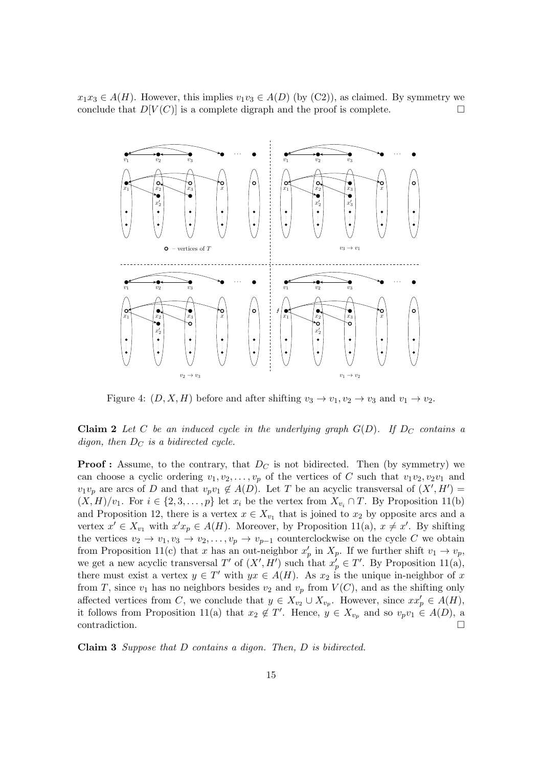$x_1x_3 \in A(H)$ . However, this implies  $v_1v_3 \in A(D)$  (by (C2)), as claimed. By symmetry we conclude that  $D[V(C)]$  is a complete digraph and the proof is complete. conclude that  $D[V(C)]$  is a complete digraph and the proof is complete.



<span id="page-14-0"></span>Figure 4:  $(D, X, H)$  before and after shifting  $v_3 \to v_1, v_2 \to v_3$  and  $v_1 \to v_2$ .

<span id="page-14-1"></span>**Claim 2** Let C be an induced cycle in the underlying graph  $G(D)$ . If  $D_C$  contains a *digon, then*  $D_C$  *is a bidirected cycle.* 

**Proof :** Assume, to the contrary, that  $D<sub>C</sub>$  is not bidirected. Then (by symmetry) we can choose a cyclic ordering  $v_1, v_2, \ldots, v_p$  of the vertices of C such that  $v_1v_2, v_2v_1$  and  $v_1v_p$  are arcs of D and that  $v_pv_1 \notin A(D)$ . Let T be an acyclic transversal of  $(X', H') =$  $(X, H)/v_1$ . For  $i \in \{2, 3, ..., p\}$  let  $x_i$  be the vertex from  $X_{v_i} \cap T$ . By Proposition [11\(](#page-20-1)b) and Proposition [12,](#page-20-2) there is a vertex  $x \in X_{v_1}$  that is joined to  $x_2$  by opposite arcs and a vertex  $x' \in X_{v_1}$  with  $x'x_p \in A(H)$ . Moreover, by Proposition [11\(](#page-20-1)a),  $x \neq x'$ . By shifting the vertices  $v_2 \to v_1, v_3 \to v_2, \ldots, v_p \to v_{p-1}$  counterclockwise on the cycle C we obtain from Proposition [11\(](#page-20-1)c) that x has an out-neighbor  $x'_p$  in  $X_p$ . If we further shift  $v_1 \to v_p$ , we get a new acyclic transversal T' of  $(X', H')$  such that  $x'_p \in T'$ . By Proposition [11\(](#page-20-1)a), there must exist a vertex  $y \in T'$  with  $yx \in A(H)$ . As  $x_2$  is the unique in-neighbor of x from T, since  $v_1$  has no neighbors besides  $v_2$  and  $v_p$  from  $V(C)$ , and as the shifting only affected vertices from C, we conclude that  $y \in X_{v_2} \cup X_{v_p}$ . However, since  $xx'_p \in A(H)$ , it follows from Proposition [11\(](#page-20-1)a) that  $x_2 \notin T'$ . Hence,  $y \in X_{v_p}$  and so  $v_p v_1 \in A(D)$ , a contradiction.

<span id="page-14-2"></span>Claim 3 *Suppose that* D *contains a digon. Then,* D *is bidirected.*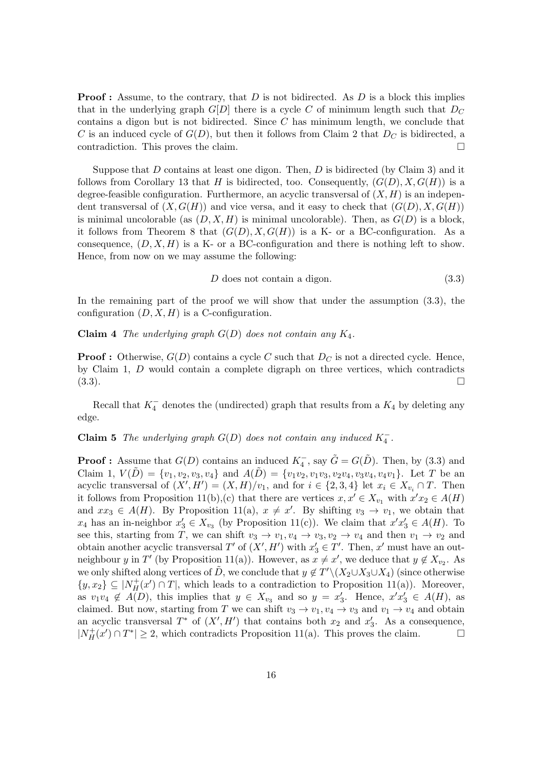**Proof**: Assume, to the contrary, that  $D$  is not bidirected. As  $D$  is a block this implies that in the underlying graph  $G[D]$  there is a cycle C of minimum length such that  $D_C$ contains a digon but is not bidirected. Since  $C$  has minimum length, we conclude that C is an induced cycle of  $G(D)$ , but then it follows from Claim [2](#page-14-1) that  $D<sub>C</sub>$  is bidirected, a contradiction. This proves the claim.

Suppose that  $D$  contains at least one digon. Then,  $D$  is bidirected (by Claim [3\)](#page-14-2) and it follows from Corollary [13](#page-21-4) that H is bidirected, too. Consequently,  $(G(D), X, G(H))$  is a degree-feasible configuration. Furthermore, an acyclic transversal of  $(X, H)$  is an independent transversal of  $(X, G(H))$  and vice versa, and it easy to check that  $(G(D), X, G(H))$ is minimal uncolorable (as  $(D, X, H)$  is minimal uncolorable). Then, as  $G(D)$  is a block, it follows from Theorem [8](#page-19-0) that  $(G(D), X, G(H))$  is a K- or a BC-configuration. As a consequence,  $(D, X, H)$  is a K- or a BC-configuration and there is nothing left to show. Hence, from now on we may assume the following:

<span id="page-15-0"></span>
$$
D \text{ does not contain a digon.} \tag{3.3}
$$

<span id="page-15-2"></span>In the remaining part of the proof we will show that under the assumption [\(3.3\)](#page-15-0), the configuration  $(D, X, H)$  is a C-configuration.

#### Claim 4 *The underlying graph* G(D) *does not contain any* K4*.*

**Proof :** Otherwise,  $G(D)$  contains a cycle C such that  $D<sub>C</sub>$  is not a directed cycle. Hence, by Claim [1,](#page-13-0) D would contain a complete digraph on three vertices, which contradicts  $(3.3)$ .

<span id="page-15-1"></span>Recall that  $K_4^-$  denotes the (undirected) graph that results from a  $K_4$  by deleting any edge.

## **Claim 5** *The underlying graph*  $G(D)$  *does not contain any induced*  $K_4^-$ .

<span id="page-15-3"></span>**Proof**: Assume that  $G(D)$  contains an induced  $K_4^-$ , say  $\tilde{G} = G(\tilde{D})$ . Then, by [\(3.3\)](#page-15-0) and Claim [1,](#page-13-0)  $V(\tilde{D}) = \{v_1, v_2, v_3, v_4\}$  and  $A(\tilde{D}) = \{v_1v_2, v_1v_3, v_2v_4, v_3v_4, v_4v_1\}$ . Let T be an acyclic transversal of  $(X', H') = (X, H)/v_1$ , and for  $i \in \{2, 3, 4\}$  let  $x_i \in X_{v_i} \cap T$ . Then it follows from Proposition [11\(](#page-20-1)b), (c) that there are vertices  $x, x' \in X_{v_1}$  with  $x'x_2 \in A(H)$ and  $xx_3 \in A(H)$ . By Proposition [11\(](#page-20-1)a),  $x \neq x'$ . By shifting  $v_3 \to v_1$ , we obtain that  $x_4$  has an in-neighbor  $x_3' \in X_{v_3}$  (by Proposition [11\(](#page-20-1)c)). We claim that  $x'x_3' \in A(H)$ . To see this, starting from T, we can shift  $v_3 \to v_1, v_4 \to v_3, v_2 \to v_4$  and then  $v_1 \to v_2$  and obtain another acyclic transversal  $T'$  of  $(X', H')$  with  $x'_3 \in T'$ . Then, x' must have an out-neighbour y in T' (by Proposition [11\(](#page-20-1)a)). However, as  $x \neq x'$ , we deduce that  $y \notin X_{v_2}$ . As we only shifted along vertices of  $\tilde{D}$ , we conclude that  $y \notin T' \setminus (X_2 \cup X_3 \cup X_4)$  (since otherwise  $\{y,x_2\} \subseteq |N_H^+(x') \cap T|$ , which leads to a contradiction to Proposition [11\(](#page-20-1)a)). Moreover, as  $v_1v_4 \notin A(D)$ , this implies that  $y \in X_{v_3}$  and so  $y = x'_3$ . Hence,  $x'x'_3 \in A(H)$ , as claimed. But now, starting from T we can shift  $v_3 \to v_1, v_4 \to v_3$  and  $v_1 \to v_4$  and obtain an acyclic transversal  $T^*$  of  $(X', H')$  that contains both  $x_2$  and  $x'_3$ . As a consequence,  $|N_H^+(x') \cap T^*| \geq 2$ , which contradicts Proposition [11\(](#page-20-1)a). This proves the claim.  $\square$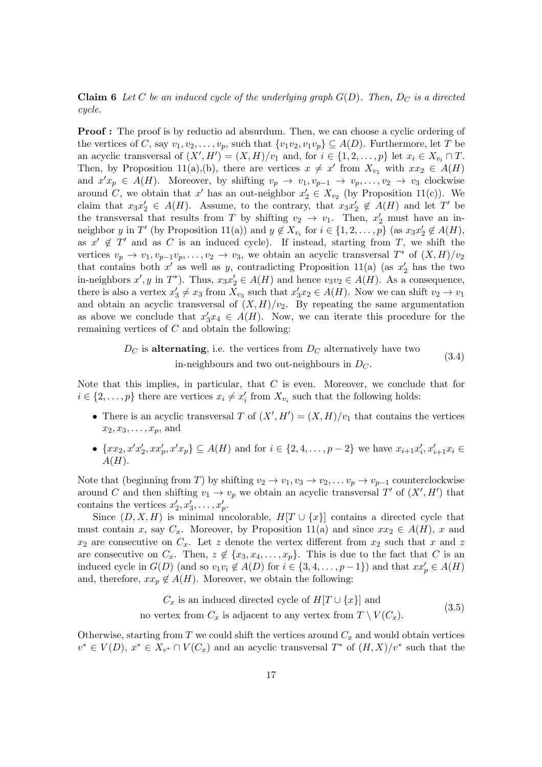**Claim 6** Let C be an induced cycle of the underlying graph  $G(D)$ . Then,  $D_C$  is a directed *cycle.*

**Proof**: The proof is by reductio ad absurdum. Then, we can choose a cyclic ordering of the vertices of C, say  $v_1, v_2, \ldots, v_p$ , such that  $\{v_1v_2, v_1v_p\} \subseteq A(D)$ . Furthermore, let T be an acyclic transversal of  $(X', H') = (X, H)/v_1$  and, for  $i \in \{1, 2, ..., p\}$  let  $x_i \in X_{v_i} \cap T$ . Then, by Proposition [11\(](#page-20-1)a),(b), there are vertices  $x \neq x'$  from  $X_{v_1}$  with  $xx_2 \in A(H)$ and  $x'x_p \in A(H)$ . Moreover, by shifting  $v_p \to v_1, v_{p-1} \to v_p, \ldots, v_2 \to v_3$  clockwise around C, we obtain that x' has an out-neighbor  $x_2' \in X_{v_2}$  (by Proposition [11\(](#page-20-1)c)). We claim that  $x_3x_2' \in A(H)$ . Assume, to the contrary, that  $x_3x_2' \notin A(H)$  and let T' be the transversal that results from T by shifting  $v_2 \to v_1$ . Then,  $x'_2$  must have an in-neighbor y in T' (by Proposition [11\(](#page-20-1)a)) and  $y \notin X_{v_i}$  for  $i \in \{1, 2, ..., p\}$  (as  $x_3x_2' \notin A(H)$ , as  $x' \notin T'$  and as C is an induced cycle). If instead, starting from T, we shift the vertices  $v_p \to v_1, v_{p-1}v_p, \ldots, v_2 \to v_3$ , we obtain an acyclic transversal  $T^*$  of  $(X, H)/v_2$ that contains both  $x'$  as well as y, contradicting Proposition [11\(](#page-20-1)a) (as  $x'_2$  has the two in-neighbors  $x', y$  in  $T^*$ ). Thus,  $x_3x'_2 \in A(H)$  and hence  $v_3v_2 \in A(H)$ . As a consequence, there is also a vertex  $x_3' \neq x_3$  from  $X_{v_3}$  such that  $x_3' x_2 \in A(H)$ . Now we can shift  $v_2 \to v_1$ and obtain an acyclic transversal of  $(X, H)/v_2$ . By repeating the same argumentation as above we conclude that  $x'_3x_4 \in A(H)$ . Now, we can iterate this procedure for the remaining vertices of  $C$  and obtain the following:

> <span id="page-16-1"></span> $D<sub>C</sub>$  is alternating, i.e. the vertices from  $D<sub>C</sub>$  alternatively have two in-neighbours and two out-neighbours in  $D<sub>C</sub>$ . (3.4)

Note that this implies, in particular, that  $C$  is even. Moreover, we conclude that for  $i \in \{2, \ldots, p\}$  there are vertices  $x_i \neq x'_i$  from  $X_{v_i}$  such that the following holds:

- There is an acyclic transversal T of  $(X', H') = (X, H)/v_1$  that contains the vertices  $x_2, x_3, \ldots, x_n$ , and
- $\{xx_2, x'x'_2, xx'_p, x'x_p\} \subseteq A(H)$  and for  $i \in \{2, 4, ..., p-2\}$  we have  $x_{i+1}x'_i, x'_{i+1}x_i \in$  $A(H)$ .

Note that (beginning from T) by shifting  $v_2 \to v_1, v_3 \to v_2, \ldots v_p \to v_{p-1}$  counterclockwise around C and then shifting  $v_1 \to v_p$  we obtain an acyclic transversal T' of  $(X', H')$  that contains the vertices  $x'_2, x'_3, \ldots, x'_p$ .

Since  $(D, X, H)$  is minimal uncolorable,  $H[T \cup \{x\}]$  contains a directed cycle that must contain x, say  $C_x$ . Moreover, by Proposition [11\(](#page-20-1)a) and since  $xx_2 \in A(H)$ , x and  $x_2$  are consecutive on  $C_x$ . Let z denote the vertex different from  $x_2$  such that x and z are consecutive on  $C_x$ . Then,  $z \notin \{x_3, x_4, \ldots, x_p\}$ . This is due to the fact that C is an induced cycle in  $G(D)$  (and so  $v_1v_i \notin A(D)$  for  $i \in \{3, 4, \ldots, p-1\}$ ) and that  $xx'_p \in A(H)$ and, therefore,  $xx_p \notin A(H)$ . Moreover, we obtain the following:

> <span id="page-16-0"></span> $C_x$  is an induced directed cycle of  $H[T \cup \{x\}]$  and no vertex from  $C_x$  is adjacent to any vertex from  $T \setminus V(C_x)$ . (3.5)

Otherwise, starting from  $T$  we could shift the vertices around  $C_x$  and would obtain vertices  $v^* \in V(D)$ ,  $x^* \in X_{v^*} \cap V(C_x)$  and an acyclic transversal  $T^*$  of  $(H, X)/v^*$  such that the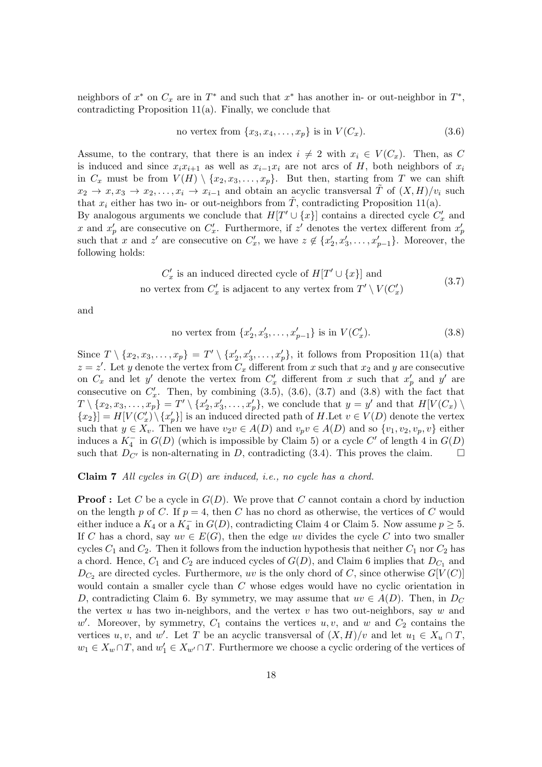neighbors of  $x^*$  on  $C_x$  are in  $T^*$  and such that  $x^*$  has another in- or out-neighbor in  $T^*$ , contradicting Proposition [11\(](#page-20-1)a). Finally, we conclude that

<span id="page-17-0"></span>no vertex from 
$$
\{x_3, x_4, \ldots, x_p\}
$$
 is in  $V(C_x)$ . (3.6)

Assume, to the contrary, that there is an index  $i \neq 2$  with  $x_i \in V(C_x)$ . Then, as C is induced and since  $x_i x_{i+1}$  as well as  $x_{i-1} x_i$  are not arcs of H, both neighbors of  $x_i$ in  $C_x$  must be from  $V(H) \setminus \{x_2, x_3, \ldots, x_p\}$ . But then, starting from T we can shift  $x_2 \to x, x_3 \to x_2, \ldots, x_i \to x_{i-1}$  and obtain an acyclic transversal  $\overline{T}$  of  $(X, H)/v_i$  such that  $x_i$  either has two in- or out-neighbors from T, contradicting Proposition [11\(](#page-20-1)a).

By analogous arguments we conclude that  $H[T' \cup \{x\}]$  contains a directed cycle  $C'_x$  and x and  $x'_p$  are consecutive on  $C'_x$ . Furthermore, if  $z'$  denotes the vertex different from  $x'_p$ such that x and z' are consecutive on  $C'_x$ , we have  $z \notin \{x'_2, x'_3, \ldots, x'_{p-1}\}$ . Moreover, the following holds:

$$
C'_x \text{ is an induced directed cycle of } H[T' \cup \{x\}] \text{ and}
$$
  
no vertex from  $C'_x$  is adjacent to any vertex from  $T' \setminus V(C'_x)$  (3.7)

and

<span id="page-17-2"></span><span id="page-17-1"></span>no vertex from 
$$
\{x'_2, x'_3, \ldots, x'_{p-1}\}
$$
 is in  $V(C'_x)$ . (3.8)

Since  $T \setminus \{x_2, x_3, \ldots, x_p\} = T' \setminus \{x'_2, x'_3, \ldots, x'_p\}$ , it follows from Proposition [11\(](#page-20-1)a) that  $z = z'$ . Let y denote the vertex from  $C_x$  different from x such that  $x_2$  and y are consecutive on  $C_x$  and let y' denote the vertex from  $C'_x$  different from x such that  $x'_p$  and y' are consecutive on  $C'_x$ . Then, by combining  $(3.5)$ ,  $(3.6)$ ,  $(3.7)$  and  $(3.8)$  with the fact that  $T \setminus \{x_2, x_3, \ldots, x_p\} = T' \setminus \{x'_2, x'_3, \ldots, x'_p\}$ , we conclude that  $y = y'$  and that  $H[V(C_x) \setminus$  ${x_2}$ ] =  $H[V(C'_x) \setminus {x'_p}]$  is an induced directed path of H.Let  $v \in V(D)$  denote the vertex such that  $y \in X_v$ . Then we have  $v_2v \in A(D)$  and  $v_pv \in A(D)$  and so  $\{v_1, v_2, v_p, v\}$  either induces a  $K_4^-$  in  $G(D)$  (which is impossible by Claim [5\)](#page-15-1) or a cycle  $C'$  of length 4 in  $G(D)$ such that  $D_{C'}$  is non-alternating in D, contradicting [\(3.4\)](#page-16-1). This proves the claim.

#### <span id="page-17-3"></span>Claim 7 *All cycles in* G(D) *are induced, i.e., no cycle has a chord.*

**Proof**: Let C be a cycle in  $G(D)$ . We prove that C cannot contain a chord by induction on the length p of C. If  $p = 4$ , then C has no chord as otherwise, the vertices of C would either induce a  $K_4$  or a  $K_4^-$  in  $G(D)$ , contradicting Claim [4](#page-15-2) or Claim [5.](#page-15-1) Now assume  $p \ge 5$ . If C has a chord, say  $uv \in E(G)$ , then the edge uv divides the cycle C into two smaller cycles  $C_1$  and  $C_2$ . Then it follows from the induction hypothesis that neither  $C_1$  nor  $C_2$  has a chord. Hence,  $C_1$  and  $C_2$  are induced cycles of  $G(D)$ , and Claim [6](#page-15-3) implies that  $D_{C_1}$  and  $D_{C_2}$  are directed cycles. Furthermore, uv is the only chord of C, since otherwise  $G[V(C)]$ would contain a smaller cycle than C whose edges would have no cyclic orientation in D, contradicting Claim [6.](#page-15-3) By symmetry, we may assume that  $uv \in A(D)$ . Then, in  $D_C$ the vertex  $u$  has two in-neighbors, and the vertex  $v$  has two out-neighbors, say  $w$  and  $w'$ . Moreover, by symmetry,  $C_1$  contains the vertices  $u, v$ , and  $w$  and  $C_2$  contains the vertices u, v, and w'. Let T be an acyclic transversal of  $(X, H)/v$  and let  $u_1 \in X_u \cap T$ ,  $w_1 \in X_w \cap T$ , and  $w'_1 \in X_{w'} \cap T$ . Furthermore we choose a cyclic ordering of the vertices of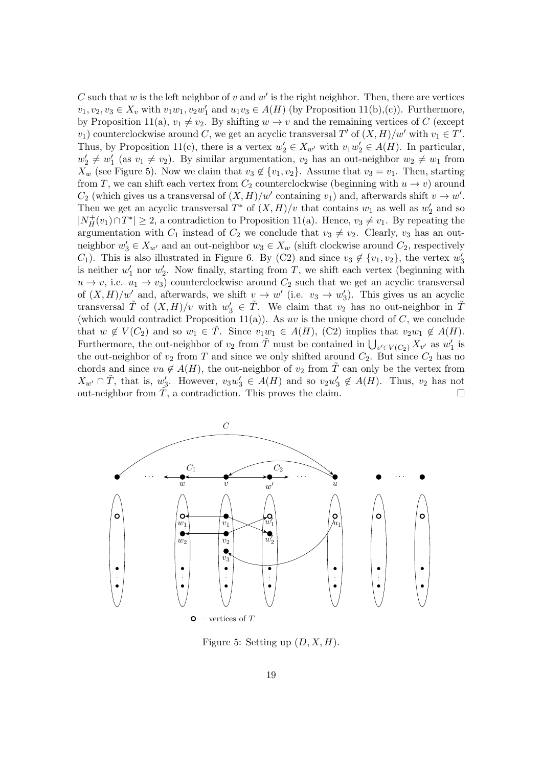C such that  $w$  is the left neighbor of  $v$  and  $w'$  is the right neighbor. Then, there are vertices  $v_1, v_2, v_3 \in X_v$  with  $v_1w_1, v_2w'_1$  and  $u_1v_3 \in A(H)$  (by Proposition [11\(](#page-20-1)b),(c)). Furthermore, by Proposition [11\(](#page-20-1)a),  $v_1 \neq v_2$ . By shifting  $w \to v$  and the remaining vertices of C (except  $v_1$ ) counterclockwise around C, we get an acyclic transversal T' of  $(X, H)/w'$  with  $v_1 \in T'$ . Thus, by Proposition [11\(](#page-20-1)c), there is a vertex  $w_2' \in X_{w'}$  with  $v_1w_2' \in A(H)$ . In particular,  $w'_2 \neq w'_1$  (as  $v_1 \neq v_2$ ). By similar argumentation,  $v_2$  has an out-neighbor  $w_2 \neq w_1$  from  $X_w$  (see Figure [5\)](#page-18-0). Now we claim that  $v_3 \notin \{v_1, v_2\}$ . Assume that  $v_3 = v_1$ . Then, starting from T, we can shift each vertex from  $C_2$  counterclockwise (beginning with  $u \to v$ ) around  $C_2$  (which gives us a transversal of  $(X, H)/w'$  containing  $v_1$ ) and, afterwards shift  $v \to w'$ . Then we get an acyclic transversal  $T^*$  of  $(X, H)/v$  that contains  $w_1$  as well as  $w_2'$  and so  $|N_H^+(v_1) \cap T^*| \geq 2$ , a contradiction to Proposition [11\(](#page-20-1)a). Hence,  $v_3 \neq v_1$ . By repeating the argumentation with  $C_1$  instead of  $C_2$  we conclude that  $v_3 \neq v_2$ . Clearly,  $v_3$  has an outneighbor  $w'_3 \in X_{w'}$  and an out-neighbor  $w_3 \in X_w$  (shift clockwise around  $C_2$ , respectively C<sub>1</sub>). This is also illustrated in Figure [6.](#page-19-1) By (C2) and since  $v_3 \notin \{v_1, v_2\}$ , the vertex  $w'_3$ is neither  $w'_1$  nor  $w'_2$ . Now finally, starting from T, we shift each vertex (beginning with  $u \to v$ , i.e.  $u_1 \to v_3$ ) counterclockwise around  $C_2$  such that we get an acyclic transversal of  $(X, H)/w'$  and, afterwards, we shift  $v \to w'$  (i.e.  $v_3 \to w'_3$ ). This gives us an acyclic transversal  $\tilde{T}$  of  $(X,H)/v$  with  $w'_3 \in \tilde{T}$ . We claim that  $v_2$  has no out-neighbor in  $\tilde{T}$ (which would contradict Proposition [11\(](#page-20-1)a)). As uv is the unique chord of  $C$ , we conclude that  $w \notin V(C_2)$  and so  $w_1 \in \tilde{T}$ . Since  $v_1w_1 \in A(H)$ , (C2) implies that  $v_2w_1 \notin A(H)$ . Furthermore, the out-neighbor of  $v_2$  from  $\tilde{T}$  must be contained in  $\bigcup_{v' \in V(C_2)} X_{v'}$  as  $w'_1$  is the out-neighbor of  $v_2$  from T and since we only shifted around  $C_2$ . But since  $C_2$  has no chords and since  $vu \notin A(H)$ , the out-neighbor of  $v_2$  from T can only be the vertex from  $X_{w'} \cap \tilde{T}$ , that is,  $w'_3$ . However,  $v_3w'_3 \in A(H)$  and so  $v_2w'_3 \notin A(H)$ . Thus,  $v_2$  has not out-neighbor from  $\tilde{T}$ , a contradiction. This proves the claim.



<span id="page-18-0"></span>Figure 5: Setting up  $(D, X, H)$ .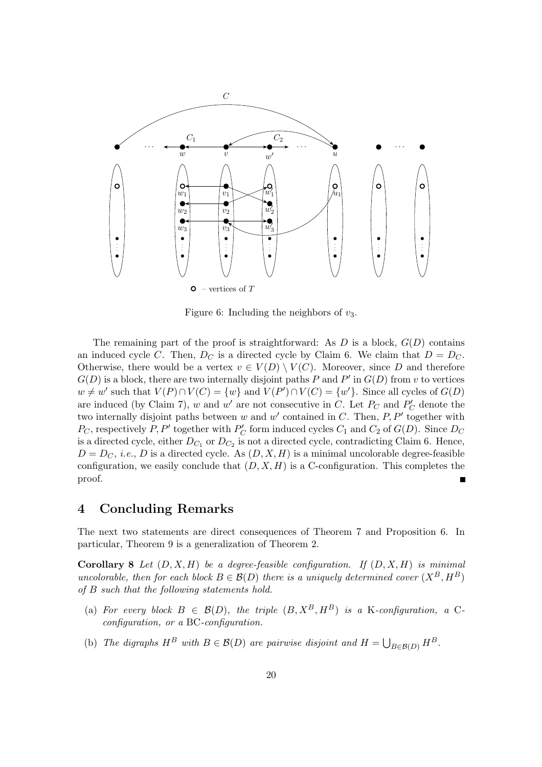

<span id="page-19-1"></span>Figure 6: Including the neighbors of  $v_3$ .

The remaining part of the proof is straightforward: As  $D$  is a block,  $G(D)$  contains an induced cycle C. Then,  $D_C$  is a directed cycle by Claim [6.](#page-15-3) We claim that  $D = D_C$ . Otherwise, there would be a vertex  $v \in V(D) \setminus V(C)$ . Moreover, since D and therefore  $G(D)$  is a block, there are two internally disjoint paths P and P' in  $G(D)$  from v to vertices  $w \neq w'$  such that  $V(P) \cap V(C) = \{w\}$  and  $V(P') \cap V(C) = \{w'\}$ . Since all cycles of  $G(D)$ are induced (by Claim [7\)](#page-17-3), w and w' are not consecutive in C. Let  $P_C$  and  $P'_C$  denote the two internally disjoint paths between  $w$  and  $w'$  contained in  $C$ . Then,  $P, P'$  together with  $P_C$ , respectively  $P, P'$  together with  $P'_C$  form induced cycles  $C_1$  and  $C_2$  of  $G(D)$ . Since  $D_C$ is a directed cycle, either  $D_{C_1}$  or  $D_{C_2}$  is not a directed cycle, contradicting Claim [6.](#page-15-3) Hence,  $D = D_C$ , *i.e.*, *D* is a directed cycle. As  $(D, X, H)$  is a minimal uncolorable degree-feasible configuration, we easily conclude that  $(D, X, H)$  is a C-configuration. This completes the proof.

## 4 Concluding Remarks

<span id="page-19-0"></span>The next two statements are direct consequences of Theorem [7](#page-12-0) and Proposition [6.](#page-6-1) In particular, Theorem [9](#page-20-0) is a generalization of Theorem [2.](#page-1-0)

Corollary 8 *Let* (D, X, H) *be a degree-feasible configuration. If* (D, X, H) *is minimal uncolorable, then for each block*  $B \in \mathcal{B}(D)$  *there is a uniquely determined cover*  $(X^B, H^B)$ *of* B *such that the following statements hold.*

- (a) For every block  $B \in \mathcal{B}(D)$ , the triple  $(B, X^B, H^B)$  is a K-configuration, a C*configuration, or a* BC*-configuration.*
- (b) The digraphs  $H^B$  with  $B \in \mathcal{B}(D)$  are pairwise disjoint and  $H = \bigcup_{B \in \mathcal{B}(D)} H^B$ .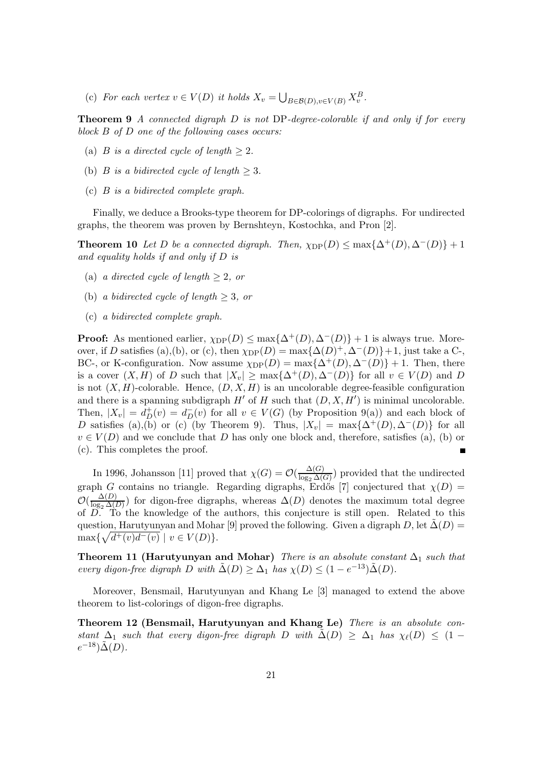(c) For each vertex  $v \in V(D)$  it holds  $X_v = \bigcup_{B \in \mathcal{B}(D), v \in V(B)} X_v^B$ .

<span id="page-20-0"></span>Theorem 9 *A connected digraph* D *is not* DP*-degree-colorable if and only if for every block* B *of* D *one of the following cases occurs:*

- (a) *B is a directed cycle of length*  $\geq 2$ *.*
- (b) *B is a bidirected cycle of length*  $\geq$  3*.*
- (c) B *is a bidirected complete graph.*

<span id="page-20-3"></span>Finally, we deduce a Brooks-type theorem for DP-colorings of digraphs. For undirected graphs, the theorem was proven by Bernshteyn, Kostochka, and Pron [\[2\]](#page-21-3).

**Theorem 10** Let D be a connected digraph. Then,  $\chi_{\text{DP}}(D) \leq \max\{\Delta^+(D), \Delta^-(D)\} + 1$ *and equality holds if and only if* D *is*

- (a) *a directed cycle of length*  $\geq 2$ *, or*
- (b) *a bidirected cycle of length* ≥ 3*, or*
- (c) *a bidirected complete graph.*

**Proof:** As mentioned earlier,  $\chi_{\text{DP}}(D) \leq \max\{\Delta^+(D), \Delta^-(D)\} + 1$  is always true. Moreover, if D satisfies (a),(b), or (c), then  $\chi_{\text{DP}}(D) = \max\{\Delta(D)^+, \Delta^-(D)\}+1$ , just take a C-, BC-, or K-configuration. Now assume  $\chi_{\text{DP}}(D) = \max{\{\Delta^+(D), \Delta^-(D)\}} + 1$ . Then, there is a cover  $(X, H)$  of D such that  $|X_v| \ge \max{\{\Delta^+(D), \Delta^-(D)\}}$  for all  $v \in V(D)$  and D is not  $(X, H)$ -colorable. Hence,  $(D, X, H)$  is an uncolorable degree-feasible configuration and there is a spanning subdigraph  $H'$  of  $H$  such that  $(D, X, H')$  is minimal uncolorable. Then,  $|X_v| = d_D^+(v) = d_D^-(v)$  for all  $v \in V(G)$  (by Proposition [9\(](#page-20-0)a)) and each block of D satisfies (a),(b) or (c) (by Theorem [9\)](#page-20-0). Thus,  $|X_v| = \max{\{\Delta^+(D), \Delta^-(D)\}}$  for all  $v \in V(D)$  and we conclude that D has only one block and, therefore, satisfies (a), (b) or (c). This completes the proof.  $\blacksquare$ 

In 1996, Johansson [\[11\]](#page-22-6) proved that  $\chi(G) = \mathcal{O}(\frac{\Delta(G)}{\log_2 \Delta(G)})$  $\frac{\Delta(G)}{\log_2 \Delta(G)}$  provided that the undirected graph G contains no triangle. Regarding digraphs, Erdős [\[7\]](#page-21-5) conjectured that  $\chi(D)$  =  $\mathcal{O}(\frac{\Delta(D)}{\log_2\Delta(D)}$  $\frac{\Delta(D)}{\log_2 \Delta(D)}$  for digon-free digraphs, whereas  $\Delta(D)$  denotes the maximum total degree of  $\overline{D}$ . To the knowledge of the authors, this conjecture is still open. Related to this question, Harutyunyan and Mohar [\[9\]](#page-22-7) proved the following. Given a digraph D, let  $\Delta(D)$  =  $\max\{\sqrt{d^+(v)d^-(v)} \mid v \in V(D)\}.$ 

<span id="page-20-1"></span>**Theorem 11 (Harutyunyan and Mohar)** *There is an absolute constant*  $\Delta_1$  *such that every digon-free digraph*  $D$  *with*  $\tilde{\Delta}(D) \geq \Delta_1$  *has*  $\chi(D) \leq (1 - e^{-13})\tilde{\Delta}(D)$ *.* 

<span id="page-20-2"></span>Moreover, Bensmail, Harutyunyan and Khang Le [\[3\]](#page-21-6) managed to extend the above theorem to list-colorings of digon-free digraphs.

Theorem 12 (Bensmail, Harutyunyan and Khang Le) *There is an absolute constant*  $\Delta_1$  *such that every digon-free digraph* D *with*  $\Delta(D) \geq \Delta_1$  *has*  $\chi_{\ell}(D) \leq (1$  $e^{-18})\tilde{\Delta}(D)$ .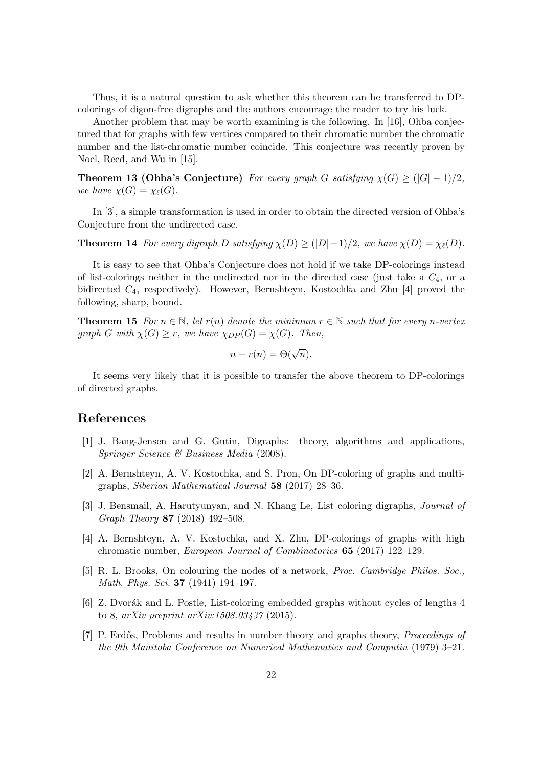Thus, it is a natural question to ask whether this theorem can be transferred to DPcolorings of digon-free digraphs and the authors encourage the reader to try his luck.

Another problem that may be worth examining is the following. In [\[16\]](#page-22-8), Ohba conjectured that for graphs with few vertices compared to their chromatic number the chromatic number and the list-chromatic number coincide. This conjecture was recently proven by Noel, Reed, and Wu in [\[15\]](#page-22-9).

<span id="page-21-4"></span>**Theorem 13 (Ohba's Conjecture)** *For every graph* G *satisfying*  $\chi(G) \geq (|G|-1)/2$ , *we have*  $\chi(G) = \chi_{\ell}(G)$ *.* 

In [\[3\]](#page-21-6), a simple transformation is used in order to obtain the directed version of Ohba's Conjecture from the undirected case.

**Theorem 14** *For every digraph* D *satisfying*  $\chi(D) \geq (|D|-1)/2$ *, we have*  $\chi(D) = \chi_{\ell}(D)$ *.* 

It is easy to see that Ohba's Conjecture does not hold if we take DP-colorings instead of list-colorings neither in the undirected nor in the directed case (just take a  $C_4$ , or a bidirected C4, respectively). However, Bernshteyn, Kostochka and Zhu [\[4\]](#page-21-7) proved the following, sharp, bound.

**Theorem 15** For  $n \in \mathbb{N}$ , let  $r(n)$  denote the minimum  $r \in \mathbb{N}$  such that for every n-vertex *graph* G with  $\chi(G) \geq r$ , we have  $\chi_{DP}(G) = \chi(G)$ . Then,

$$
n - r(n) = \Theta(\sqrt{n}).
$$

It seems very likely that it is possible to transfer the above theorem to DP-colorings of directed graphs.

## <span id="page-21-2"></span>References

- [1] J. Bang-Jensen and G. Gutin, Digraphs: theory, algorithms and applications, *Springer Science & Business Media* (2008).
- <span id="page-21-3"></span>[2] A. Bernshteyn, A. V. Kostochka, and S. Pron, On DP-coloring of graphs and multigraphs, *Siberian Mathematical Journal* 58 (2017) 28–36.
- <span id="page-21-6"></span>[3] J. Bensmail, A. Harutyunyan, and N. Khang Le, List coloring digraphs, *Journal of Graph Theory* 87 (2018) 492–508.
- <span id="page-21-7"></span>[4] A. Bernshteyn, A. V. Kostochka, and X. Zhu, DP-colorings of graphs with high chromatic number, *European Journal of Combinatorics* 65 (2017) 122–129.
- <span id="page-21-0"></span>[5] R. L. Brooks, On colouring the nodes of a network, *Proc. Cambridge Philos. Soc., Math. Phys. Sci.* 37 (1941) 194–197.
- <span id="page-21-1"></span>[6] Z. Dvorák and L. Postle, List-coloring embedded graphs without cycles of lengths 4 to 8, *arXiv preprint [arXiv:1508.03437](http://arxiv.org/abs/1508.03437)* (2015).
- <span id="page-21-5"></span>[7] P. Erdős, Problems and results in number theory and graphs theory, *Proceedings of the 9th Manitoba Conference on Numerical Mathematics and Computin* (1979) 3–21.